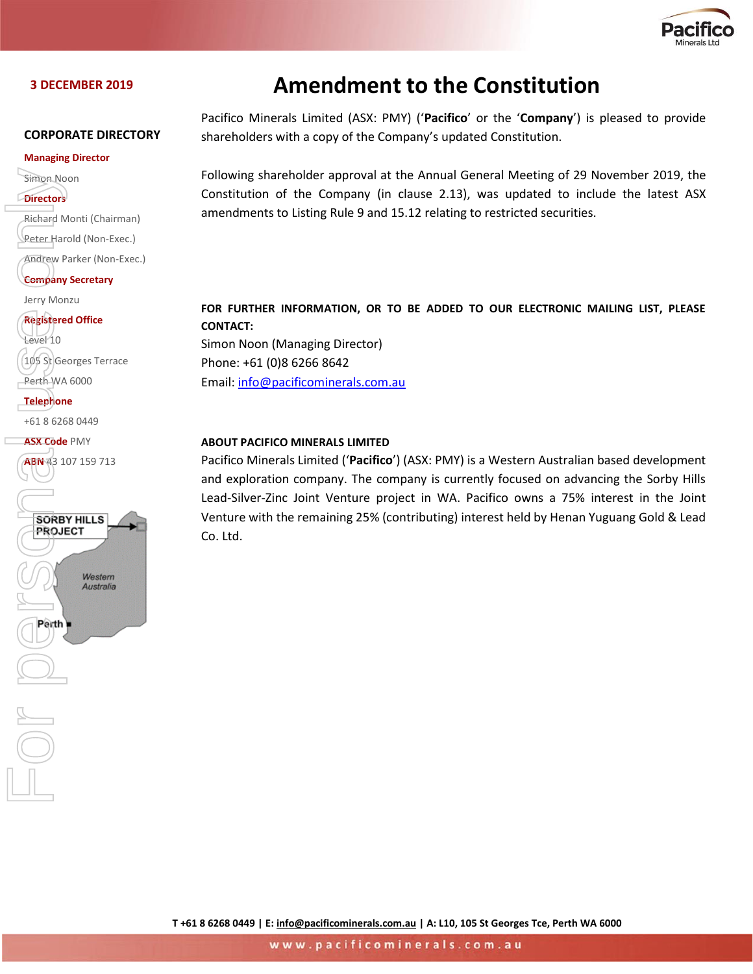

#### **3 DECEMBER 2019**

#### **CORPORATE DIRECTORY**

#### **Managing Director**

Simon Noon

- **Directors**
- Richard Monti (Chairman)

Peter Harold (Non-Exec.)

Andrew Parker (Non-Exec.)

**Company Secretary**

Jerry Monzu

#### **Registered Office**

Level 10 105 St Georges Terrace Perth WA 6000

**Telephone**

+61 8 6268 0449

**ASX Code** PMY

ABN 43 107 159 713



## **Amendment to the Constitution**

Pacifico Minerals Limited (ASX: PMY) ('**Pacifico**' or the '**Company**') is pleased to provide shareholders with a copy of the Company's updated Constitution.

Following shareholder approval at the Annual General Meeting of 29 November 2019, the Constitution of the Company (in clause 2.13), was updated to include the latest ASX amendments to Listing Rule 9 and 15.12 relating to restricted securities.

**FOR FURTHER INFORMATION, OR TO BE ADDED TO OUR ELECTRONIC MAILING LIST, PLEASE CONTACT:**

Simon Noon (Managing Director) Phone: +61 (0)8 6266 8642 Email[: info@pacificominerals.com.au](mailto:info@pacificominerals.com.au)

#### **ABOUT PACIFICO MINERALS LIMITED**

Pacifico Minerals Limited ('**Pacifico**') (ASX: PMY) is a Western Australian based development and exploration company. The company is currently focused on advancing the Sorby Hills Lead-Silver-Zinc Joint Venture project in WA. Pacifico owns a 75% interest in the Joint Venture with the remaining 25% (contributing) interest held by Henan Yuguang Gold & Lead Co. Ltd.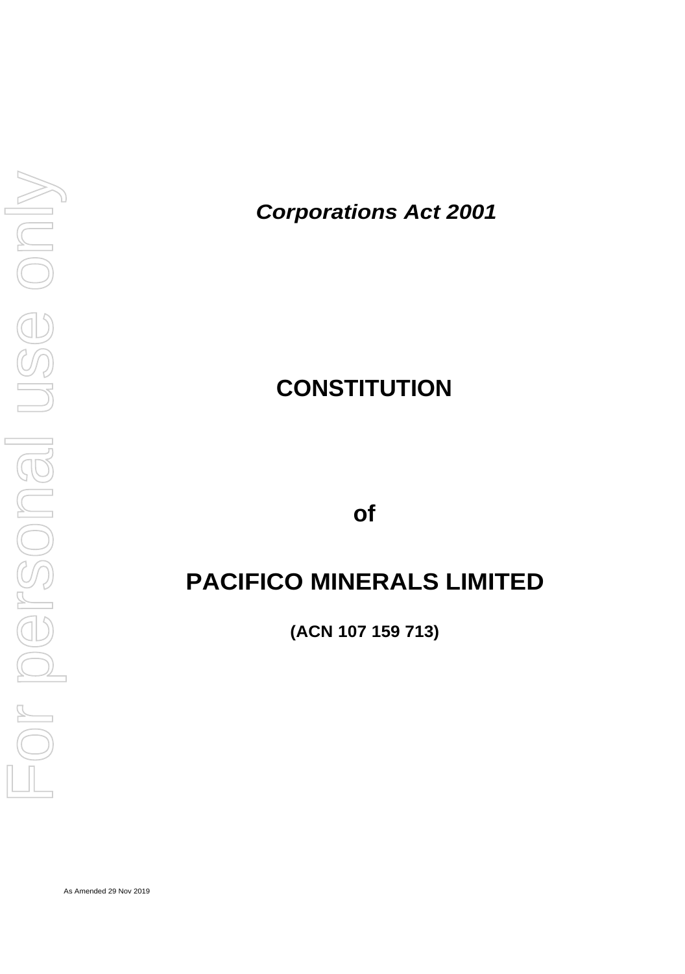*Corporations Act 2001*

## **CONSTITUTION**

**of**

# **PACIFICO MINERALS LIMITED**

**(ACN 107 159 713)**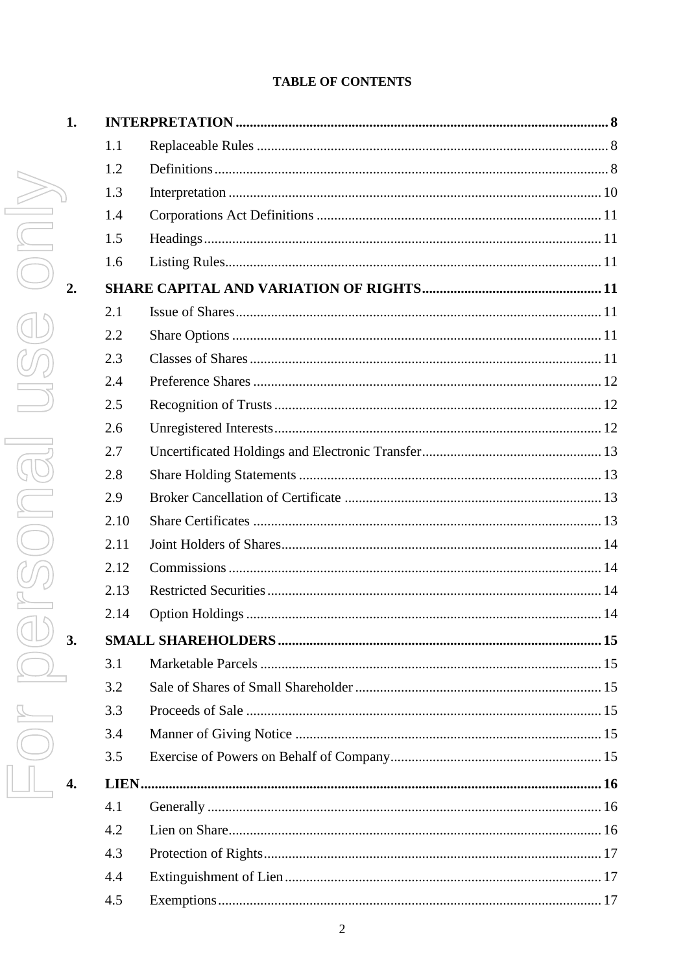## **TABLE OF CONTENTS**

| 1.               |      |  |
|------------------|------|--|
|                  | 1.1  |  |
|                  | 1.2  |  |
|                  | 1.3  |  |
|                  | 1.4  |  |
|                  | 1.5  |  |
|                  | 1.6  |  |
| 2.               |      |  |
|                  | 2.1  |  |
|                  | 2.2  |  |
|                  | 2.3  |  |
|                  | 2.4  |  |
|                  | 2.5  |  |
|                  | 2.6  |  |
|                  | 2.7  |  |
|                  | 2.8  |  |
|                  | 2.9  |  |
|                  | 2.10 |  |
|                  | 2.11 |  |
|                  | 2.12 |  |
|                  | 2.13 |  |
|                  | 2.14 |  |
| 3.               |      |  |
|                  | 3.1  |  |
| I                | 3.2  |  |
|                  | 3.3  |  |
|                  | 3.4  |  |
|                  | 3.5  |  |
| $\overline{4}$ . |      |  |
|                  | 4.1  |  |
|                  | 4.2  |  |
|                  | 4.3  |  |
|                  | 4.4  |  |
|                  | 4.5  |  |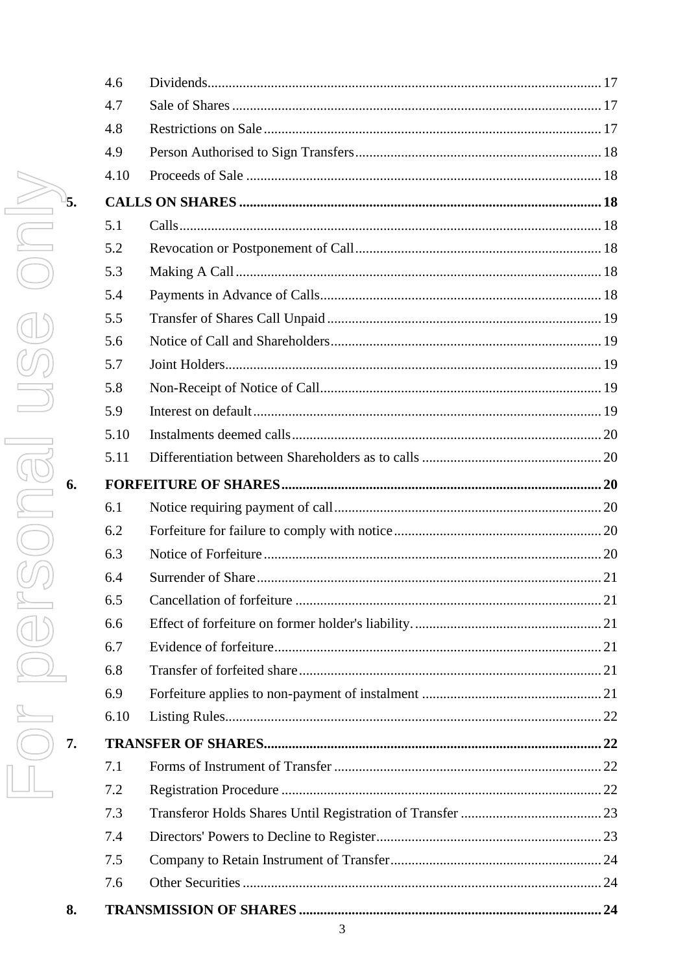| 1<br>I               |
|----------------------|
| I                    |
| ١<br>I<br>I          |
| 6.                   |
|                      |
| ļ                    |
| I                    |
| $\frac{1}{\sqrt{2}}$ |
| $\bigcirc$<br>7.     |
| $\frac{1}{2}$        |

8.

| 4.6  |  |
|------|--|
| 4.7  |  |
| 4.8  |  |
| 4.9  |  |
| 4.10 |  |
|      |  |
| 5.1  |  |
| 5.2  |  |
| 5.3  |  |
| 5.4  |  |
| 5.5  |  |
| 5.6  |  |
| 5.7  |  |
| 5.8  |  |
| 5.9  |  |
| 5.10 |  |
| 5.11 |  |
|      |  |
| 6.1  |  |
| 6.2  |  |
| 6.3  |  |
| 6.4  |  |
| 6.5  |  |
| 6.6  |  |
| 6.7  |  |
| 6.8  |  |
| 6.9  |  |
| 6.10 |  |
|      |  |
| 7.1  |  |
| 7.2  |  |
| 7.3  |  |
| 7.4  |  |
| 7.5  |  |
| 7.6  |  |
|      |  |
|      |  |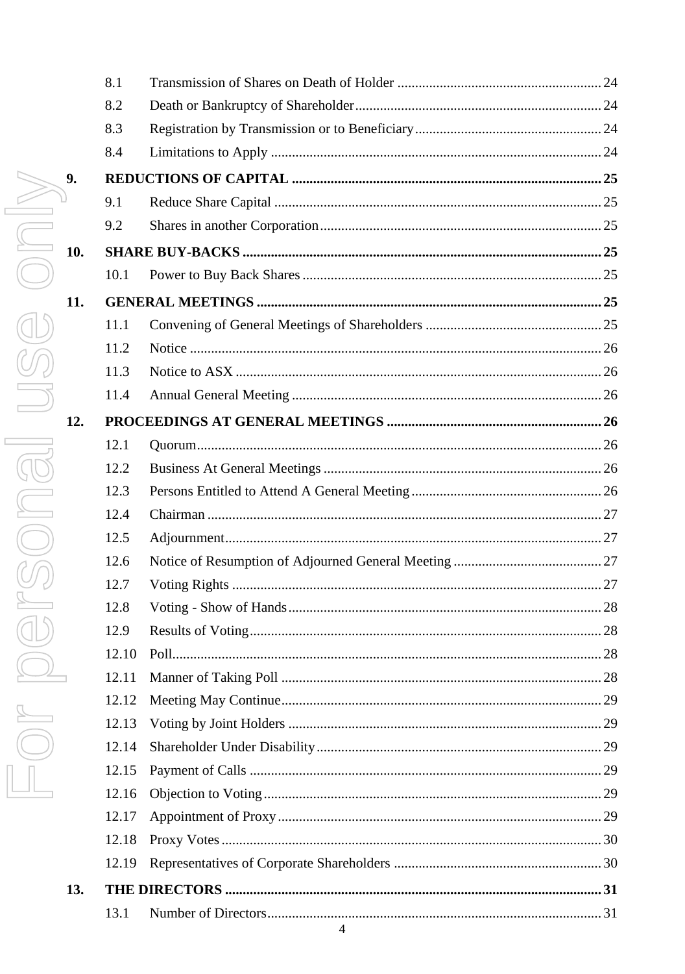|     | 8.1   |  |
|-----|-------|--|
|     | 8.2   |  |
|     | 8.3   |  |
|     | 8.4   |  |
| 9.  |       |  |
|     | 9.1   |  |
|     | 9.2   |  |
| 10. |       |  |
|     | 10.1  |  |
| 11. |       |  |
|     | 11.1  |  |
|     | 11.2  |  |
|     | 11.3  |  |
|     | 11.4  |  |
| 12. |       |  |
|     | 12.1  |  |
|     | 12.2  |  |
|     | 12.3  |  |
|     | 12.4  |  |
|     | 12.5  |  |
|     | 12.6  |  |
|     | 12.7  |  |
|     | 12.8  |  |
|     | 12.9  |  |
|     | 12.10 |  |
|     | 12.11 |  |
|     | 12.12 |  |
|     | 12.13 |  |
|     | 12.14 |  |
|     | 12.15 |  |
|     | 12.16 |  |
|     | 12.17 |  |
|     | 12.18 |  |
|     | 12.19 |  |
| 13. |       |  |
|     | 13.1  |  |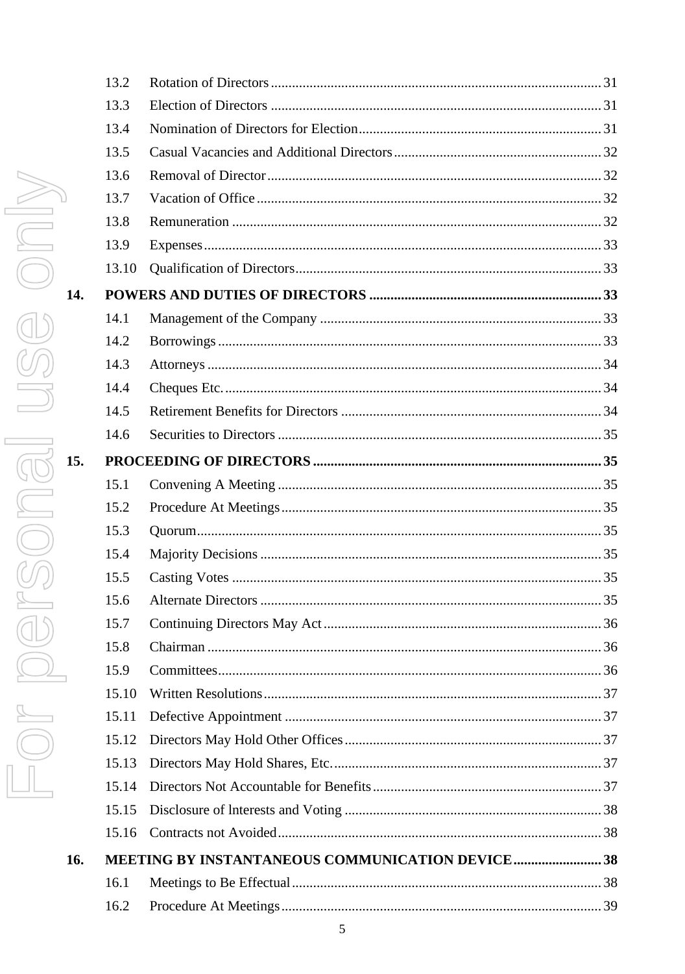| L<br>I                              |
|-------------------------------------|
| 14.                                 |
| I                                   |
| I<br>15                             |
| ((                                  |
| $\left(\right)$<br>J<br>$\tilde{S}$ |
| l                                   |
| O                                   |
| $\Box$                              |

 $16.$ 

| 13.2  |                                                 |    |
|-------|-------------------------------------------------|----|
| 13.3  |                                                 |    |
| 13.4  |                                                 |    |
| 13.5  |                                                 |    |
| 13.6  |                                                 |    |
| 13.7  |                                                 |    |
| 13.8  |                                                 |    |
| 13.9  |                                                 |    |
| 13.10 |                                                 |    |
|       |                                                 |    |
| 14.1  |                                                 |    |
| 14.2  |                                                 |    |
| 14.3  |                                                 |    |
| 14.4  |                                                 |    |
| 14.5  |                                                 |    |
| 14.6  |                                                 |    |
|       |                                                 |    |
| 15.1  |                                                 |    |
| 15.2  |                                                 |    |
| 15.3  |                                                 |    |
| 15.4  |                                                 |    |
| 15.5  |                                                 |    |
| 15.6  | Alternate Directors                             | 35 |
| 15.7  |                                                 |    |
| 15.8  |                                                 |    |
| 15.9  |                                                 |    |
| 15.10 |                                                 |    |
| 15.11 |                                                 |    |
| 15.12 |                                                 |    |
| 15.13 |                                                 |    |
| 15.14 |                                                 |    |
| 15.15 |                                                 |    |
| 15.16 |                                                 |    |
|       | MEETING BY INSTANTANEOUS COMMUNICATION DEVICE38 |    |
| 16.1  |                                                 |    |
| 16.2  |                                                 |    |
|       |                                                 |    |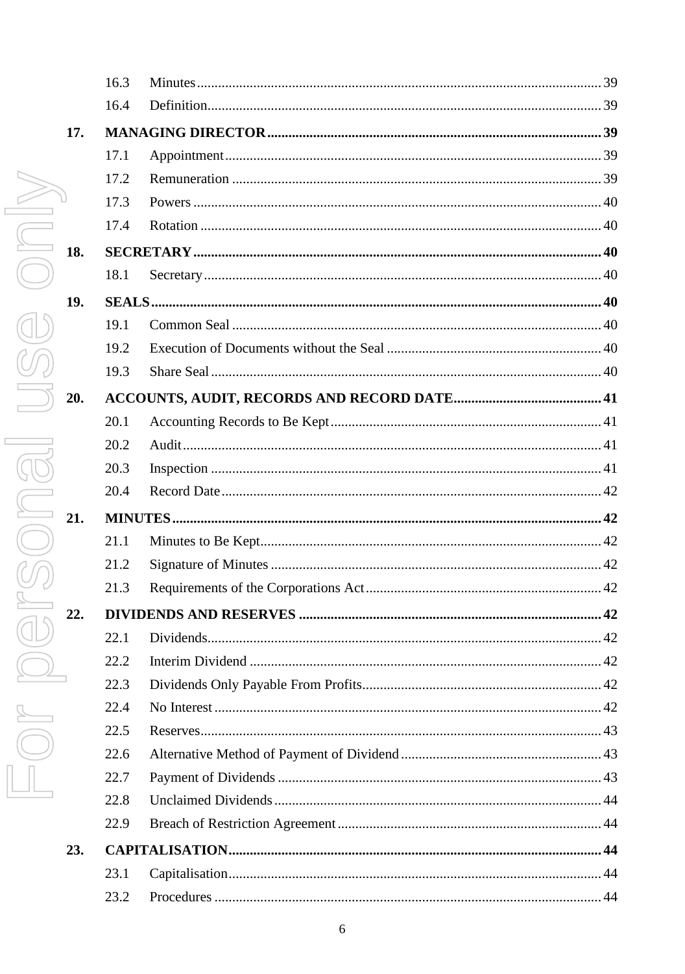|     | 16.3 |  |
|-----|------|--|
|     | 16.4 |  |
| 17. |      |  |
|     | 17.1 |  |
|     | 17.2 |  |
|     | 17.3 |  |
|     | 17.4 |  |
| 18. |      |  |
|     | 18.1 |  |
| 19. |      |  |
|     | 19.1 |  |
|     | 19.2 |  |
|     | 19.3 |  |
| 20. |      |  |
|     | 20.1 |  |
|     | 20.2 |  |
|     | 20.3 |  |
|     | 20.4 |  |
| 21. |      |  |
|     | 21.1 |  |
|     | 21.2 |  |
|     | 21.3 |  |
| 22. |      |  |
|     | 22.1 |  |
|     | 22.2 |  |
|     | 22.3 |  |
|     | 22.4 |  |
|     | 22.5 |  |
|     | 22.6 |  |
|     | 22.7 |  |
|     | 22.8 |  |
|     | 22.9 |  |
| 23. |      |  |
|     | 23.1 |  |
|     | 23.2 |  |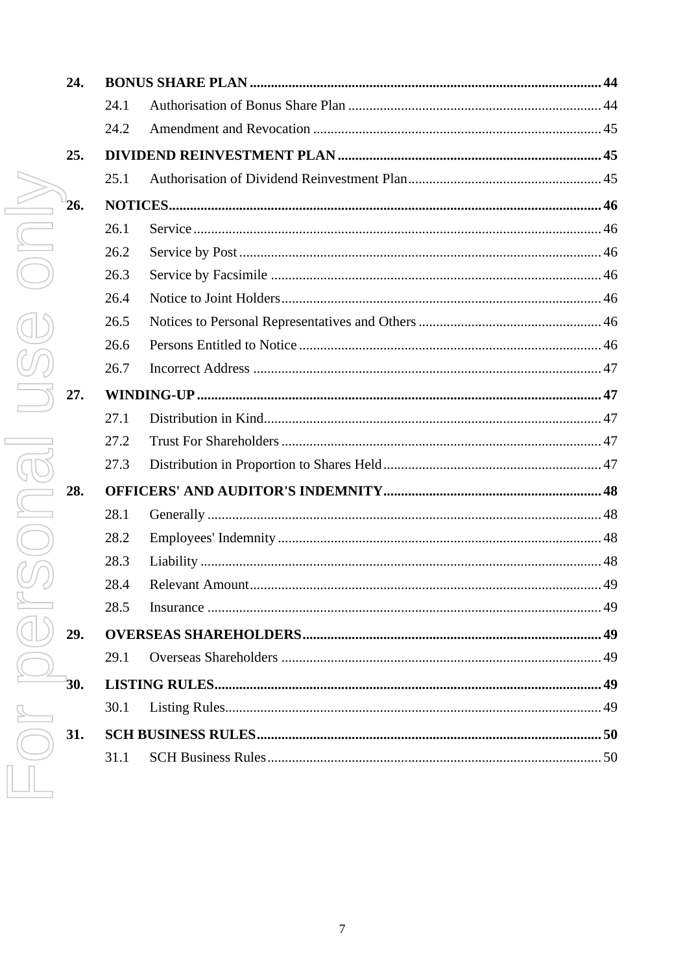| 24. |      |  |
|-----|------|--|
|     | 24.1 |  |
|     | 24.2 |  |
| 25. |      |  |
|     | 25.1 |  |
| 26. |      |  |
|     | 26.1 |  |
|     | 26.2 |  |
|     | 26.3 |  |
|     | 26.4 |  |
|     | 26.5 |  |
|     | 26.6 |  |
|     | 26.7 |  |
| 27. |      |  |
|     | 27.1 |  |
|     | 27.2 |  |
|     | 27.3 |  |
| 28. |      |  |
|     | 28.1 |  |
|     | 28.2 |  |
|     | 28.3 |  |
|     | 28.4 |  |
|     | 28.5 |  |
| 29. |      |  |
|     | 29.1 |  |
| 30. |      |  |
|     | 30.1 |  |
| 31. |      |  |
|     | 31.1 |  |
|     |      |  |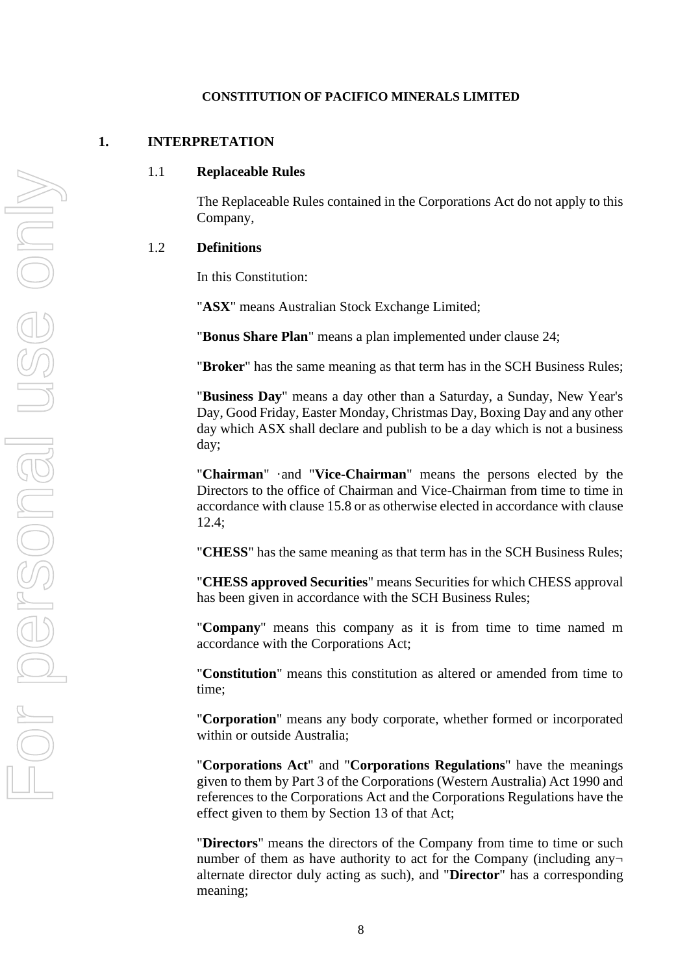#### **CONSTITUTION OF PACIFICO MINERALS LIMITED**

#### <span id="page-8-1"></span><span id="page-8-0"></span>**1. INTERPRETATION**

#### 1.1 **Replaceable Rules**

The Replaceable Rules contained in the Corporations Act do not apply to this Company,

## <span id="page-8-3"></span><span id="page-8-2"></span>1.2 **Definitions**

In this Constitution:

"**ASX**" means Australian Stock Exchange Limited;

"**Bonus Share Plan**" means a plan implemented under clause [24;](#page-44-7)

"**Broker**" has the same meaning as that term has in the SCH Business Rules;

"**Business Day**" means a day other than a Saturday, a Sunday, New Year's Day, Good Friday, Easter Monday, Christmas Day, Boxing Day and any other day which ASX shall declare and publish to be a day which is not a business day;

"**Chairman**" ·and "**Vice-Chairman**" means the persons elected by the Directors to the office of Chairman and Vice-Chairman from time to time in accordance with claus[e 15.8](#page-36-3) or as otherwise elected in accordance with clause [12.4;](#page-27-4)

"**CHESS**" has the same meaning as that term has in the SCH Business Rules;

"**CHESS approved Securities**" means Securities for which CHESS approval has been given in accordance with the SCH Business Rules;

"**Company**" means this company as it is from time to time named m accordance with the Corporations Act;

"**Constitution**" means this constitution as altered or amended from time to time;

"**Corporation**" means any body corporate, whether formed or incorporated within or outside Australia;

"**Corporations Act**" and "**Corporations Regulations**" have the meanings given to them by Part 3 of the Corporations (Western Australia) Act 1990 and references to the Corporations Act and the Corporations Regulations have the effect given to them by Section 13 of that Act;

"**Directors**" means the directors of the Company from time to time or such number of them as have authority to act for the Company (including any $\neg$ alternate director duly acting as such), and "**Director**" has a corresponding meaning;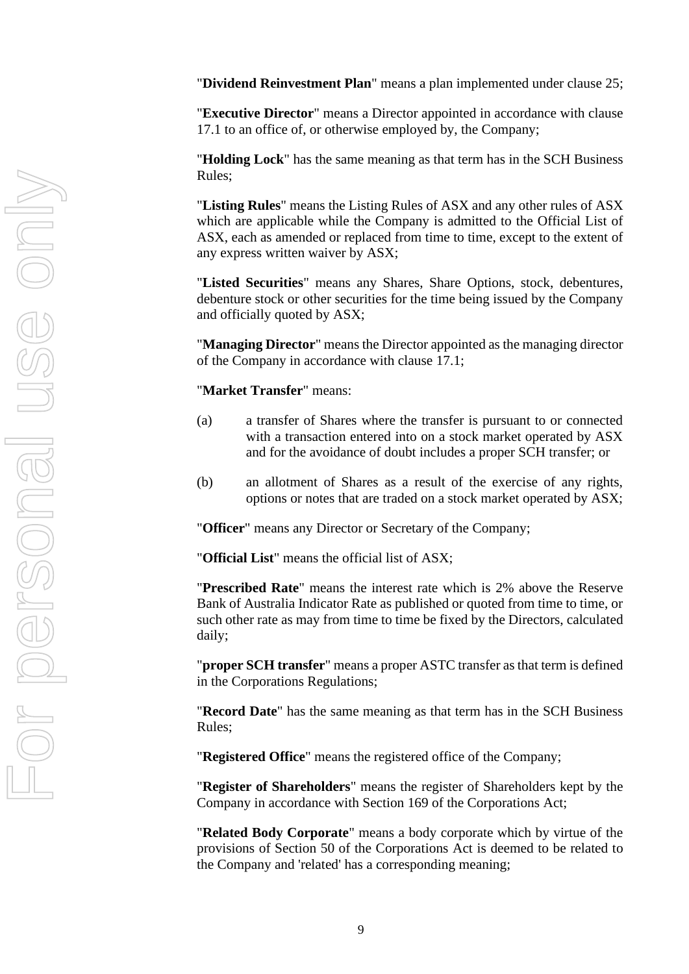"**Dividend Reinvestment Plan**" means a plan implemented under clause [25;](#page-45-3)

"**Executive Director**" means a Director appointed in accordance with clause [17.1](#page-39-6) to an office of, or otherwise employed by, the Company;

"**Holding Lock**" has the same meaning as that term has in the SCH Business Rules;

"**Listing Rules**" means the Listing Rules of ASX and any other rules of ASX which are applicable while the Company is admitted to the Official List of ASX, each as amended or replaced from time to time, except to the extent of any express written waiver by ASX;

"**Listed Securities**" means any Shares, Share Options, stock, debentures, debenture stock or other securities for the time being issued by the Company and officially quoted by ASX;

"**Managing Director**" means the Director appointed as the managing director of the Company in accordance with clause [17.1;](#page-39-6)

"**Market Transfer**" means:

- (a) a transfer of Shares where the transfer is pursuant to or connected with a transaction entered into on a stock market operated by ASX and for the avoidance of doubt includes a proper SCH transfer; or
- (b) an allotment of Shares as a result of the exercise of any rights, options or notes that are traded on a stock market operated by ASX;

"**Officer**" means any Director or Secretary of the Company;

"**Official List**" means the official list of ASX;

"**Prescribed Rate**" means the interest rate which is 2% above the Reserve Bank of Australia Indicator Rate as published or quoted from time to time, or such other rate as may from time to time be fixed by the Directors, calculated daily;

"**proper SCH transfer**" means a proper ASTC transfer as that term is defined in the Corporations Regulations;

"**Record Date**" has the same meaning as that term has in the SCH Business Rules;

"**Registered Office**" means the registered office of the Company;

"**Register of Shareholders**" means the register of Shareholders kept by the Company in accordance with Section 169 of the Corporations Act;

"**Related Body Corporate**" means a body corporate which by virtue of the provisions of Section 50 of the Corporations Act is deemed to be related to the Company and 'related' has a corresponding meaning;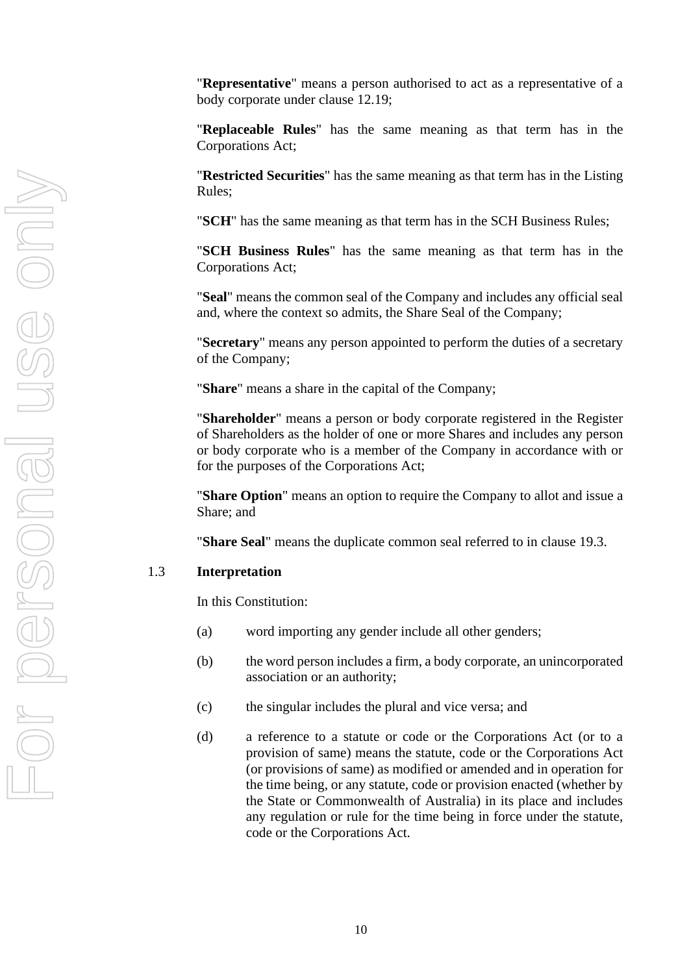"**Representative**" means a person authorised to act as a representative of a body corporate under clause [12.19;](#page-30-2)

"**Replaceable Rules**" has the same meaning as that term has in the Corporations Act;

"**Restricted Securities**" has the same meaning as that term has in the Listing Rules;

"**SCH**" has the same meaning as that term has in the SCH Business Rules;

"**SCH Business Rules**" has the same meaning as that term has in the Corporations Act;

"**Seal**" means the common seal of the Company and includes any official seal and, where the context so admits, the Share Seal of the Company;

"**Secretary**" means any person appointed to perform the duties of a secretary of the Company;

"**Share**" means a share in the capital of the Company;

"**Shareholder**" means a person or body corporate registered in the Register of Shareholders as the holder of one or more Shares and includes any person or body corporate who is a member of the Company in accordance with or for the purposes of the Corporations Act;

"**Share Option**" means an option to require the Company to allot and issue a Share; and

"**Share Seal**" means the duplicate common seal referred to in clause [19.3.](#page-40-8)

#### <span id="page-10-0"></span>1.3 **Interpretation**

In this Constitution:

- (a) word importing any gender include all other genders;
- (b) the word person includes a firm, a body corporate, an unincorporated association or an authority;
- (c) the singular includes the plural and vice versa; and
- (d) a reference to a statute or code or the Corporations Act (or to a provision of same) means the statute, code or the Corporations Act (or provisions of same) as modified or amended and in operation for the time being, or any statute, code or provision enacted (whether by the State or Commonwealth of Australia) in its place and includes any regulation or rule for the time being in force under the statute, code or the Corporations Act.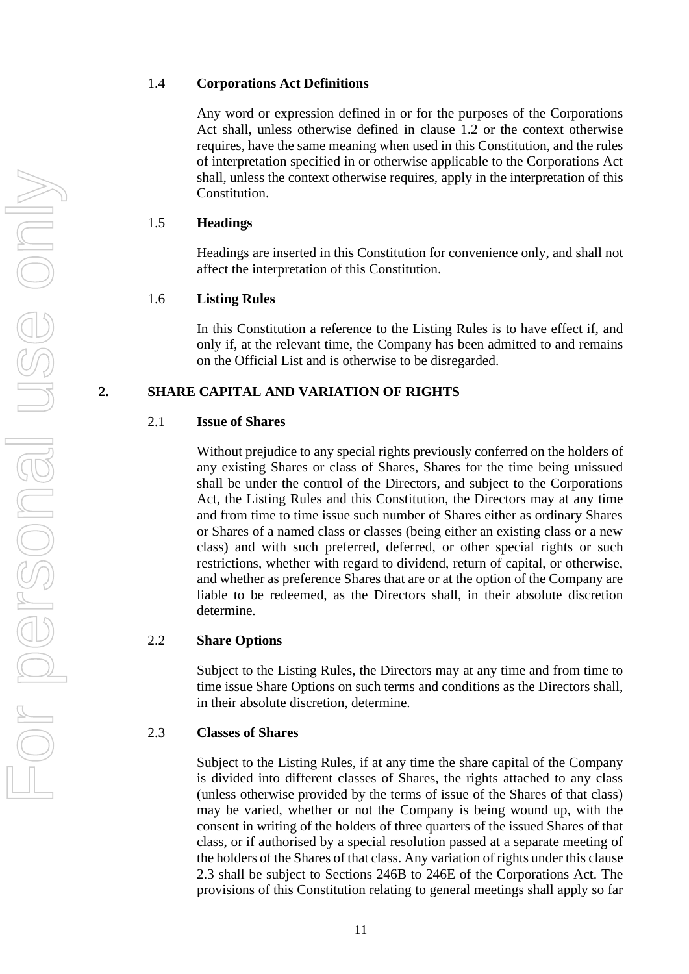## <span id="page-11-0"></span>1.4 **Corporations Act Definitions**

Any word or expression defined in or for the purposes of the Corporations Act shall, unless otherwise defined in clause [1.2](#page-8-3) or the context otherwise requires, have the same meaning when used in this Constitution, and the rules of interpretation specified in or otherwise applicable to the Corporations Act shall, unless the context otherwise requires, apply in the interpretation of this Constitution.

## <span id="page-11-1"></span>1.5 **Headings**

Headings are inserted in this Constitution for convenience only, and shall not affect the interpretation of this Constitution.

#### <span id="page-11-2"></span>1.6 **Listing Rules**

In this Constitution a reference to the Listing Rules is to have effect if, and only if, at the relevant time, the Company has been admitted to and remains on the Official List and is otherwise to be disregarded.

## <span id="page-11-8"></span><span id="page-11-4"></span><span id="page-11-3"></span>**2. SHARE CAPITAL AND VARIATION OF RIGHTS**

#### 2.1 **Issue of Shares**

Without prejudice to any special rights previously conferred on the holders of any existing Shares or class of Shares, Shares for the time being unissued shall be under the control of the Directors, and subject to the Corporations Act, the Listing Rules and this Constitution, the Directors may at any time and from time to time issue such number of Shares either as ordinary Shares or Shares of a named class or classes (being either an existing class or a new class) and with such preferred, deferred, or other special rights or such restrictions, whether with regard to dividend, return of capital, or otherwise, and whether as preference Shares that are or at the option of the Company are liable to be redeemed, as the Directors shall, in their absolute discretion determine.

## <span id="page-11-5"></span>2.2 **Share Options**

Subject to the Listing Rules, the Directors may at any time and from time to time issue Share Options on such terms and conditions as the Directors shall, in their absolute discretion, determine.

## <span id="page-11-7"></span><span id="page-11-6"></span>2.3 **Classes of Shares**

Subject to the Listing Rules, if at any time the share capital of the Company is divided into different classes of Shares, the rights attached to any class (unless otherwise provided by the terms of issue of the Shares of that class) may be varied, whether or not the Company is being wound up, with the consent in writing of the holders of three quarters of the issued Shares of that class, or if authorised by a special resolution passed at a separate meeting of the holders of the Shares of that class. Any variation of rights under this clause [2.3](#page-11-7) shall be subject to Sections 246B to 246E of the Corporations Act. The provisions of this Constitution relating to general meetings shall apply so far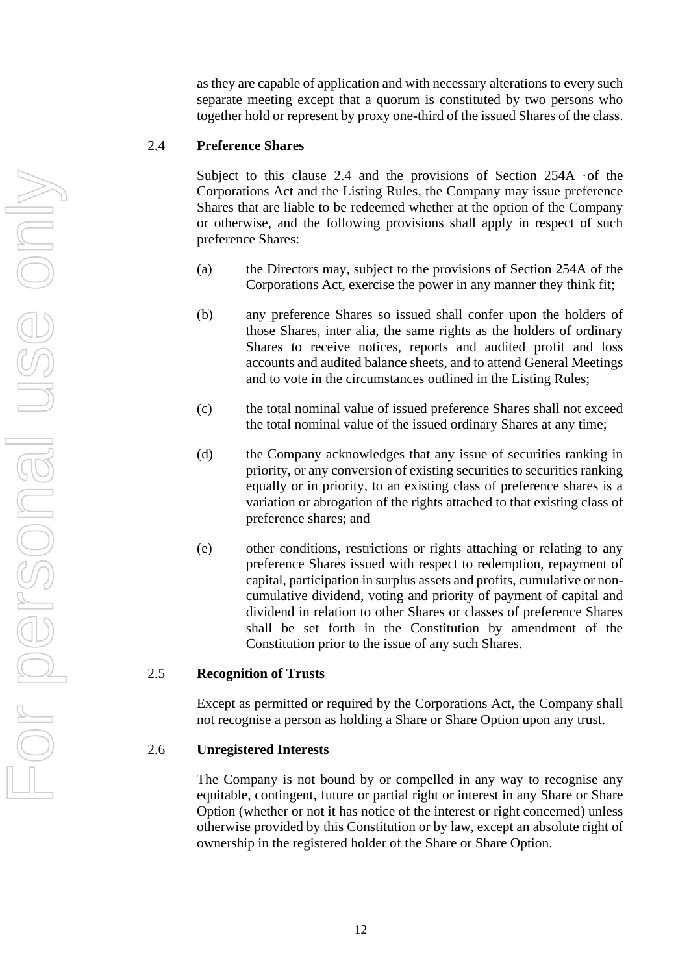as they are capable of application and with necessary alterations to every such separate meeting except that a quorum is constituted by two persons who together hold or represent by proxy one-third of the issued Shares of the class.

## <span id="page-12-3"></span><span id="page-12-0"></span>2.4 **Preference Shares**

Subject to this clause [2.4](#page-12-3) and the provisions of Section 254A ·of the Corporations Act and the Listing Rules, the Company may issue preference Shares that are liable to be redeemed whether at the option of the Company or otherwise, and the following provisions shall apply in respect of such preference Shares:

- (a) the Directors may, subject to the provisions of Section 254A of the Corporations Act, exercise the power in any manner they think fit;
- (b) any preference Shares so issued shall confer upon the holders of those Shares, inter alia, the same rights as the holders of ordinary Shares to receive notices, reports and audited profit and loss accounts and audited balance sheets, and to attend General Meetings and to vote in the circumstances outlined in the Listing Rules;
- (c) the total nominal value of issued preference Shares shall not exceed the total nominal value of the issued ordinary Shares at any time;
- (d) the Company acknowledges that any issue of securities ranking in priority, or any conversion of existing securities to securities ranking equally or in priority, to an existing class of preference shares is a variation or abrogation of the rights attached to that existing class of preference shares; and
- (e) other conditions, restrictions or rights attaching or relating to any preference Shares issued with respect to redemption, repayment of capital, participation in surplus assets and profits, cumulative or noncumulative dividend, voting and priority of payment of capital and dividend in relation to other Shares or classes of preference Shares shall be set forth in the Constitution by amendment of the Constitution prior to the issue of any such Shares.

#### <span id="page-12-1"></span>2.5 **Recognition of Trusts**

Except as permitted or required by the Corporations Act, the Company shall not recognise a person as holding a Share or Share Option upon any trust.

#### <span id="page-12-2"></span>2.6 **Unregistered Interests**

The Company is not bound by or compelled in any way to recognise any equitable, contingent, future or partial right or interest in any Share or Share Option (whether or not it has notice of the interest or right concerned) unless otherwise provided by this Constitution or by law, except an absolute right of ownership in the registered holder of the Share or Share Option.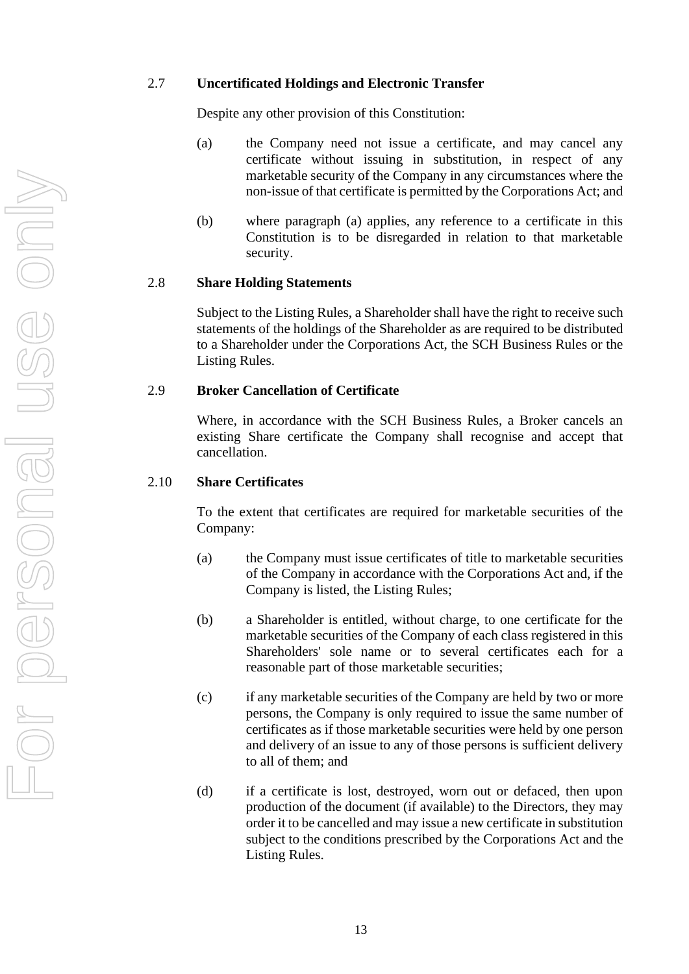## <span id="page-13-0"></span>2.7 **Uncertificated Holdings and Electronic Transfer**

Despite any other provision of this Constitution:

- (a) the Company need not issue a certificate, and may cancel any certificate without issuing in substitution, in respect of any marketable security of the Company in any circumstances where the non-issue of that certificate is permitted by the Corporations Act; and
- (b) where paragraph (a) applies, any reference to a certificate in this Constitution is to be disregarded in relation to that marketable security.

## <span id="page-13-1"></span>2.8 **Share Holding Statements**

Subject to the Listing Rules, a Shareholder shall have the right to receive such statements of the holdings of the Shareholder as are required to be distributed to a Shareholder under the Corporations Act, the SCH Business Rules or the Listing Rules.

## <span id="page-13-2"></span>2.9 **Broker Cancellation of Certificate**

Where, in accordance with the SCH Business Rules, a Broker cancels an existing Share certificate the Company shall recognise and accept that cancellation.

## <span id="page-13-3"></span>2.10 **Share Certificates**

To the extent that certificates are required for marketable securities of the Company:

- (a) the Company must issue certificates of title to marketable securities of the Company in accordance with the Corporations Act and, if the Company is listed, the Listing Rules;
- (b) a Shareholder is entitled, without charge, to one certificate for the marketable securities of the Company of each class registered in this Shareholders' sole name or to several certificates each for a reasonable part of those marketable securities;
- (c) if any marketable securities of the Company are held by two or more persons, the Company is only required to issue the same number of certificates as if those marketable securities were held by one person and delivery of an issue to any of those persons is sufficient delivery to all of them; and
- (d) if a certificate is lost, destroyed, worn out or defaced, then upon production of the document (if available) to the Directors, they may order it to be cancelled and may issue a new certificate in substitution subject to the conditions prescribed by the Corporations Act and the Listing Rules.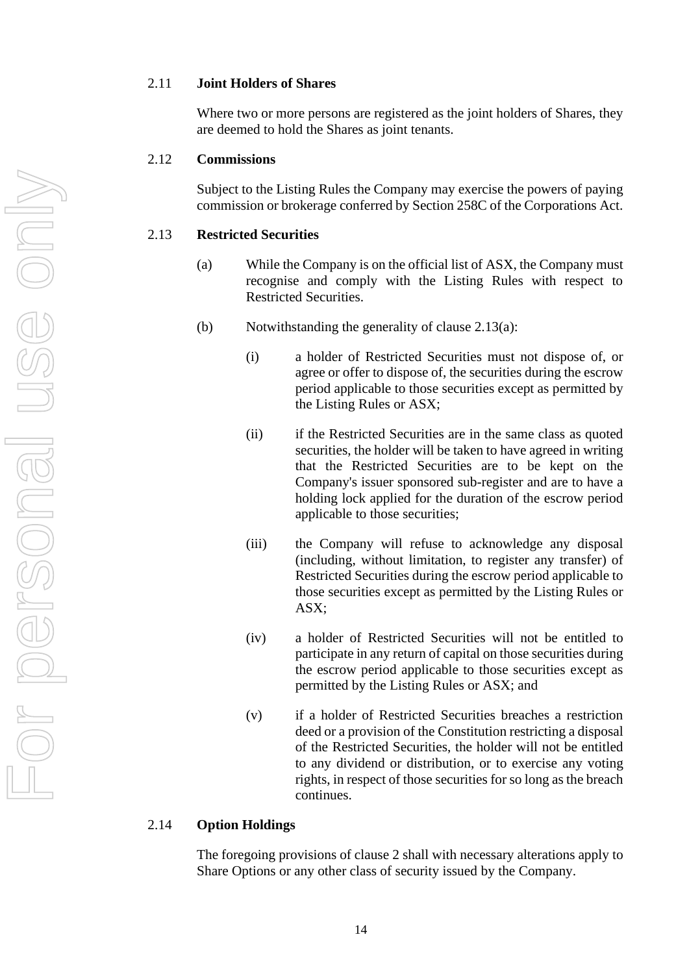## <span id="page-14-0"></span>2.11 **Joint Holders of Shares**

Where two or more persons are registered as the joint holders of Shares, they are deemed to hold the Shares as joint tenants.

#### <span id="page-14-1"></span>2.12 **Commissions**

Subject to the Listing Rules the Company may exercise the powers of paying commission or brokerage conferred by Section 258C of the Corporations Act.

## <span id="page-14-4"></span><span id="page-14-2"></span>2.13 **Restricted Securities**

- (a) While the Company is on the official list of ASX, the Company must recognise and comply with the Listing Rules with respect to Restricted Securities.
- (b) Notwithstanding the generality of clause [2.13\(a\):](#page-14-4)
	- (i) a holder of Restricted Securities must not dispose of, or agree or offer to dispose of, the securities during the escrow period applicable to those securities except as permitted by the Listing Rules or ASX;
	- (ii) if the Restricted Securities are in the same class as quoted securities, the holder will be taken to have agreed in writing that the Restricted Securities are to be kept on the Company's issuer sponsored sub-register and are to have a holding lock applied for the duration of the escrow period applicable to those securities;
	- (iii) the Company will refuse to acknowledge any disposal (including, without limitation, to register any transfer) of Restricted Securities during the escrow period applicable to those securities except as permitted by the Listing Rules or ASX;
	- (iv) a holder of Restricted Securities will not be entitled to participate in any return of capital on those securities during the escrow period applicable to those securities except as permitted by the Listing Rules or ASX; and
	- (v) if a holder of Restricted Securities breaches a restriction deed or a provision of the Constitution restricting a disposal of the Restricted Securities, the holder will not be entitled to any dividend or distribution, or to exercise any voting rights, in respect of those securities for so long as the breach continues.

## <span id="page-14-3"></span>2.14 **Option Holdings**

The foregoing provisions of clause [2](#page-11-8) shall with necessary alterations apply to Share Options or any other class of security issued by the Company.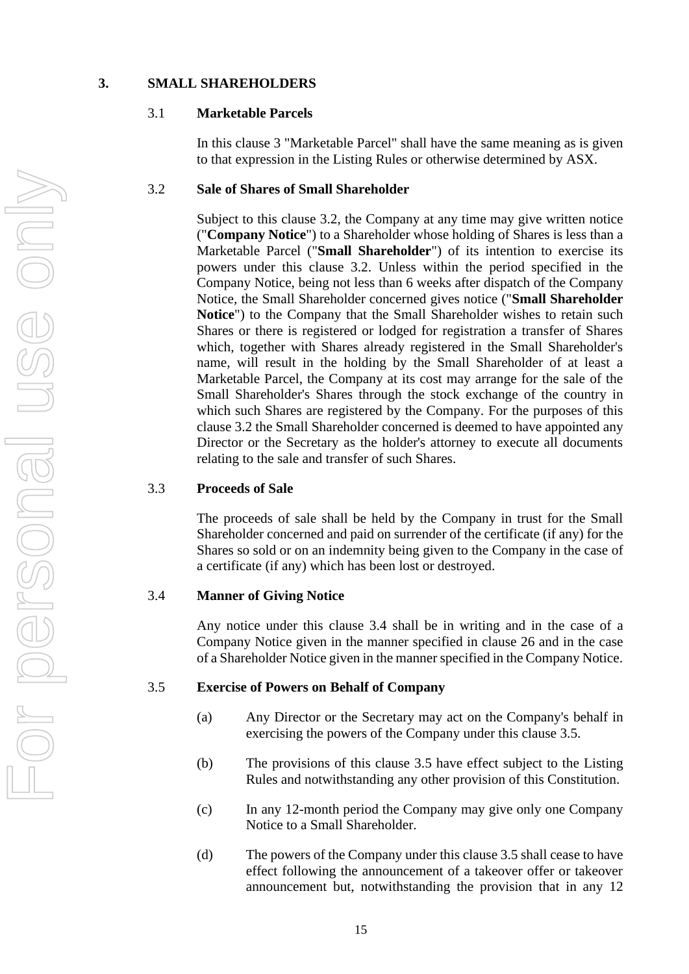## <span id="page-15-6"></span><span id="page-15-1"></span><span id="page-15-0"></span>**3. SMALL SHAREHOLDERS**

## 3.1 **Marketable Parcels**

In this clause [3](#page-15-6) "Marketable Parcel" shall have the same meaning as is given to that expression in the Listing Rules or otherwise determined by ASX.

## <span id="page-15-7"></span><span id="page-15-2"></span>3.2 **Sale of Shares of Small Shareholder**

Subject to this clause [3.2,](#page-15-7) the Company at any time may give written notice ("**Company Notice**") to a Shareholder whose holding of Shares is less than a Marketable Parcel ("**Small Shareholder**") of its intention to exercise its powers under this clause [3.2.](#page-15-7) Unless within the period specified in the Company Notice, being not less than 6 weeks after dispatch of the Company Notice, the Small Shareholder concerned gives notice ("**Small Shareholder Notice**") to the Company that the Small Shareholder wishes to retain such Shares or there is registered or lodged for registration a transfer of Shares which, together with Shares already registered in the Small Shareholder's name, will result in the holding by the Small Shareholder of at least a Marketable Parcel, the Company at its cost may arrange for the sale of the Small Shareholder's Shares through the stock exchange of the country in which such Shares are registered by the Company. For the purposes of this clause [3.2](#page-15-7) the Small Shareholder concerned is deemed to have appointed any Director or the Secretary as the holder's attorney to execute all documents relating to the sale and transfer of such Shares.

## <span id="page-15-3"></span>3.3 **Proceeds of Sale**

The proceeds of sale shall be held by the Company in trust for the Small Shareholder concerned and paid on surrender of the certificate (if any) for the Shares so sold or on an indemnity being given to the Company in the case of a certificate (if any) which has been lost or destroyed.

#### <span id="page-15-8"></span><span id="page-15-4"></span>3.4 **Manner of Giving Notice**

Any notice under this clause [3.4](#page-15-8) shall be in writing and in the case of a Company Notice given in the manner specified in clause [26](#page-46-7) and in the case of a Shareholder Notice given in the manner specified in the Company Notice.

#### <span id="page-15-9"></span><span id="page-15-5"></span>3.5 **Exercise of Powers on Behalf of Company**

- (a) Any Director or the Secretary may act on the Company's behalf in exercising the powers of the Company under this clause [3.5.](#page-15-9)
- (b) The provisions of this clause [3.5](#page-15-9) have effect subject to the Listing Rules and notwithstanding any other provision of this Constitution.
- (c) In any 12-month period the Company may give only one Company Notice to a Small Shareholder.
- (d) The powers of the Company under this claus[e 3.5](#page-15-9) shall cease to have effect following the announcement of a takeover offer or takeover announcement but, notwithstanding the provision that in any 12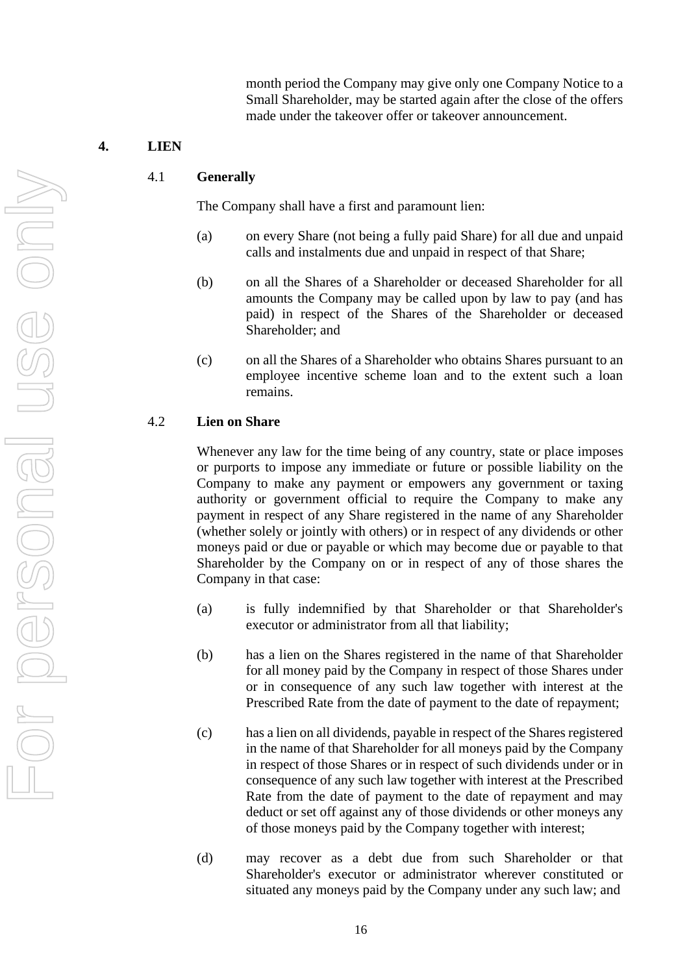month period the Company may give only one Company Notice to a Small Shareholder, may be started again after the close of the offers made under the takeover offer or takeover announcement.

## <span id="page-16-3"></span><span id="page-16-1"></span><span id="page-16-0"></span>**4. LIEN**

## 4.1 **Generally**

The Company shall have a first and paramount lien:

- (a) on every Share (not being a fully paid Share) for all due and unpaid calls and instalments due and unpaid in respect of that Share;
- (b) on all the Shares of a Shareholder or deceased Shareholder for all amounts the Company may be called upon by law to pay (and has paid) in respect of the Shares of the Shareholder or deceased Shareholder; and
- (c) on all the Shares of a Shareholder who obtains Shares pursuant to an employee incentive scheme loan and to the extent such a loan remains.

## <span id="page-16-2"></span>4.2 **Lien on Share**

Whenever any law for the time being of any country, state or place imposes or purports to impose any immediate or future or possible liability on the Company to make any payment or empowers any government or taxing authority or government official to require the Company to make any payment in respect of any Share registered in the name of any Shareholder (whether solely or jointly with others) or in respect of any dividends or other moneys paid or due or payable or which may become due or payable to that Shareholder by the Company on or in respect of any of those shares the Company in that case:

- (a) is fully indemnified by that Shareholder or that Shareholder's executor or administrator from all that liability;
- (b) has a lien on the Shares registered in the name of that Shareholder for all money paid by the Company in respect of those Shares under or in consequence of any such law together with interest at the Prescribed Rate from the date of payment to the date of repayment;
- (c) has a lien on all dividends, payable in respect of the Shares registered in the name of that Shareholder for all moneys paid by the Company in respect of those Shares or in respect of such dividends under or in consequence of any such law together with interest at the Prescribed Rate from the date of payment to the date of repayment and may deduct or set off against any of those dividends or other moneys any of those moneys paid by the Company together with interest;
- (d) may recover as a debt due from such Shareholder or that Shareholder's executor or administrator wherever constituted or situated any moneys paid by the Company under any such law; and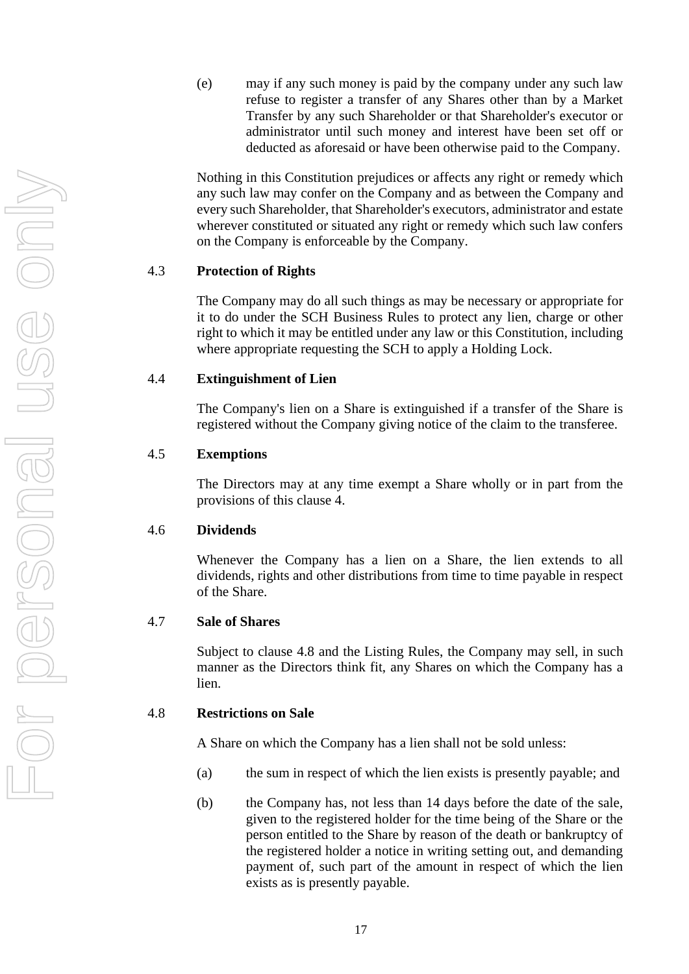(e) may if any such money is paid by the company under any such law refuse to register a transfer of any Shares other than by a Market Transfer by any such Shareholder or that Shareholder's executor or administrator until such money and interest have been set off or deducted as aforesaid or have been otherwise paid to the Company.

Nothing in this Constitution prejudices or affects any right or remedy which any such law may confer on the Company and as between the Company and every such Shareholder, that Shareholder's executors, administrator and estate wherever constituted or situated any right or remedy which such law confers on the Company is enforceable by the Company.

#### <span id="page-17-0"></span>4.3 **Protection of Rights**

The Company may do all such things as may be necessary or appropriate for it to do under the SCH Business Rules to protect any lien, charge or other right to which it may be entitled under any law or this Constitution, including where appropriate requesting the SCH to apply a Holding Lock.

#### <span id="page-17-1"></span>4.4 **Extinguishment of Lien**

The Company's lien on a Share is extinguished if a transfer of the Share is registered without the Company giving notice of the claim to the transferee.

## <span id="page-17-2"></span>4.5 **Exemptions**

The Directors may at any time exempt a Share wholly or in part from the provisions of this clause [4.](#page-16-3)

#### <span id="page-17-3"></span>4.6 **Dividends**

Whenever the Company has a lien on a Share, the lien extends to all dividends, rights and other distributions from time to time payable in respect of the Share.

#### <span id="page-17-7"></span><span id="page-17-4"></span>4.7 **Sale of Shares**

Subject to clause [4.8](#page-17-6) and the Listing Rules, the Company may sell, in such manner as the Directors think fit, any Shares on which the Company has a lien.

#### <span id="page-17-6"></span><span id="page-17-5"></span>4.8 **Restrictions on Sale**

A Share on which the Company has a lien shall not be sold unless:

- (a) the sum in respect of which the lien exists is presently payable; and
- (b) the Company has, not less than 14 days before the date of the sale, given to the registered holder for the time being of the Share or the person entitled to the Share by reason of the death or bankruptcy of the registered holder a notice in writing setting out, and demanding payment of, such part of the amount in respect of which the lien exists as is presently payable.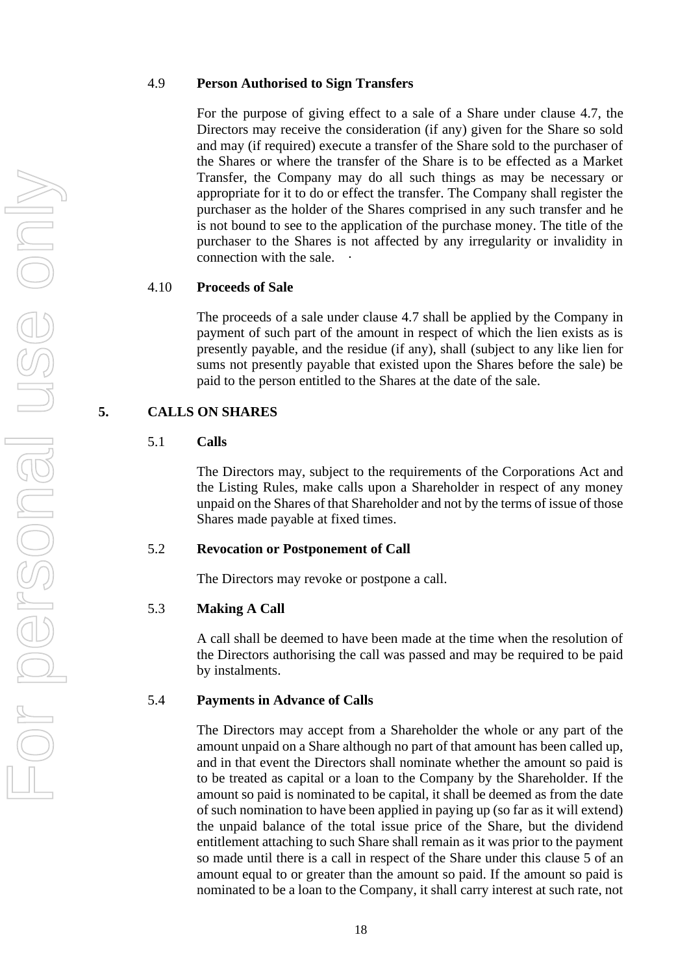## <span id="page-18-0"></span>4.9 **Person Authorised to Sign Transfers**

For the purpose of giving effect to a sale of a Share under clause [4.7,](#page-17-7) the Directors may receive the consideration (if any) given for the Share so sold and may (if required) execute a transfer of the Share sold to the purchaser of the Shares or where the transfer of the Share is to be effected as a Market Transfer, the Company may do all such things as may be necessary or appropriate for it to do or effect the transfer. The Company shall register the purchaser as the holder of the Shares comprised in any such transfer and he is not bound to see to the application of the purchase money. The title of the purchaser to the Shares is not affected by any irregularity or invalidity in connection with the sale.

## <span id="page-18-1"></span>4.10 **Proceeds of Sale**

The proceeds of a sale under clause [4.7](#page-17-7) shall be applied by the Company in payment of such part of the amount in respect of which the lien exists as is presently payable, and the residue (if any), shall (subject to any like lien for sums not presently payable that existed upon the Shares before the sale) be paid to the person entitled to the Shares at the date of the sale.

## <span id="page-18-7"></span><span id="page-18-3"></span><span id="page-18-2"></span>**5. CALLS ON SHARES**

## 5.1 **Calls**

The Directors may, subject to the requirements of the Corporations Act and the Listing Rules, make calls upon a Shareholder in respect of any money unpaid on the Shares of that Shareholder and not by the terms of issue of those Shares made payable at fixed times.

#### <span id="page-18-4"></span>5.2 **Revocation or Postponement of Call**

The Directors may revoke or postpone a call.

#### <span id="page-18-5"></span>5.3 **Making A Call**

A call shall be deemed to have been made at the time when the resolution of the Directors authorising the call was passed and may be required to be paid by instalments.

## <span id="page-18-6"></span>5.4 **Payments in Advance of Calls**

The Directors may accept from a Shareholder the whole or any part of the amount unpaid on a Share although no part of that amount has been called up, and in that event the Directors shall nominate whether the amount so paid is to be treated as capital or a loan to the Company by the Shareholder. If the amount so paid is nominated to be capital, it shall be deemed as from the date of such nomination to have been applied in paying up (so far as it will extend) the unpaid balance of the total issue price of the Share, but the dividend entitlement attaching to such Share shall remain as it was prior to the payment so made until there is a call in respect of the Share under this clause [5](#page-18-7) of an amount equal to or greater than the amount so paid. If the amount so paid is nominated to be a loan to the Company, it shall carry interest at such rate, not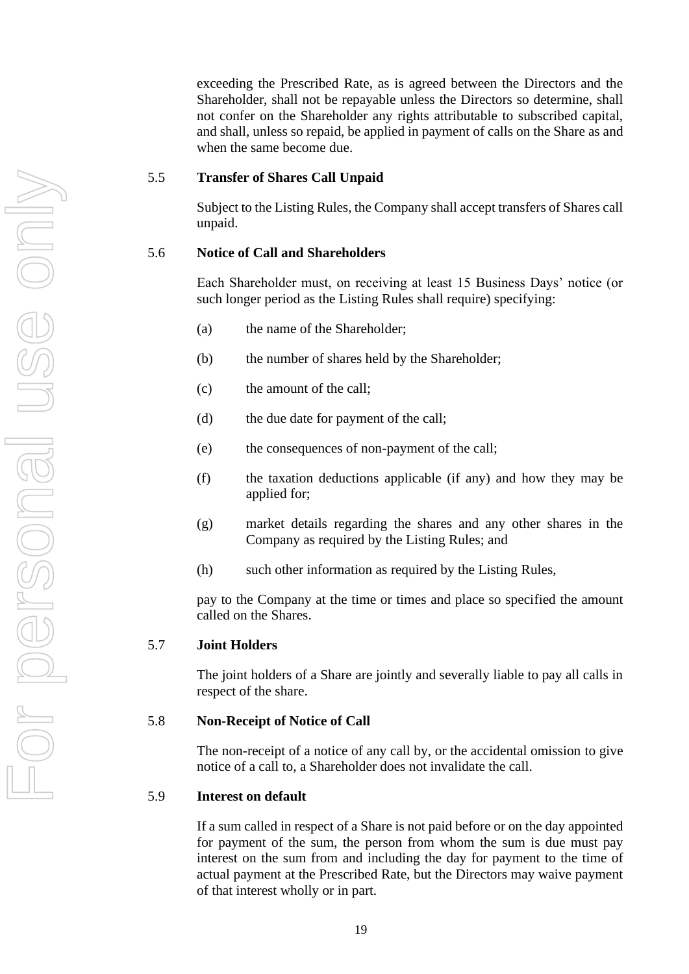exceeding the Prescribed Rate, as is agreed between the Directors and the Shareholder, shall not be repayable unless the Directors so determine, shall not confer on the Shareholder any rights attributable to subscribed capital, and shall, unless so repaid, be applied in payment of calls on the Share as and when the same become due.

#### <span id="page-19-0"></span>5.5 **Transfer of Shares Call Unpaid**

Subject to the Listing Rules, the Company shall accept transfers of Shares call unpaid.

## <span id="page-19-1"></span>5.6 **Notice of Call and Shareholders**

Each Shareholder must, on receiving at least 15 Business Days' notice (or such longer period as the Listing Rules shall require) specifying:

- (a) the name of the Shareholder;
- (b) the number of shares held by the Shareholder;
- (c) the amount of the call;
- (d) the due date for payment of the call;
- (e) the consequences of non-payment of the call;
- (f) the taxation deductions applicable (if any) and how they may be applied for;
- (g) market details regarding the shares and any other shares in the Company as required by the Listing Rules; and
- (h) such other information as required by the Listing Rules,

pay to the Company at the time or times and place so specified the amount called on the Shares.

#### <span id="page-19-2"></span>5.7 **Joint Holders**

The joint holders of a Share are jointly and severally liable to pay all calls in respect of the share.

#### <span id="page-19-3"></span>5.8 **Non-Receipt of Notice of Call**

The non-receipt of a notice of any call by, or the accidental omission to give notice of a call to, a Shareholder does not invalidate the call.

#### <span id="page-19-4"></span>5.9 **Interest on default**

If a sum called in respect of a Share is not paid before or on the day appointed for payment of the sum, the person from whom the sum is due must pay interest on the sum from and including the day for payment to the time of actual payment at the Prescribed Rate, but the Directors may waive payment of that interest wholly or in part.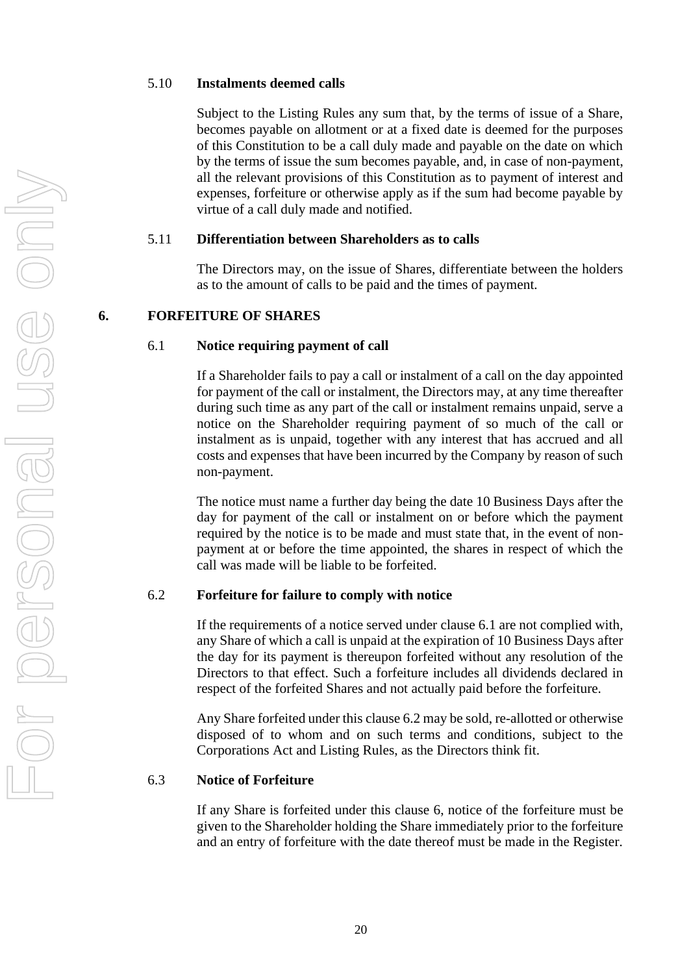## <span id="page-20-0"></span>5.10 **Instalments deemed calls**

Subject to the Listing Rules any sum that, by the terms of issue of a Share, becomes payable on allotment or at a fixed date is deemed for the purposes of this Constitution to be a call duly made and payable on the date on which by the terms of issue the sum becomes payable, and, in case of non-payment, all the relevant provisions of this Constitution as to payment of interest and expenses, forfeiture or otherwise apply as if the sum had become payable by virtue of a call duly made and notified.

### <span id="page-20-1"></span>5.11 **Differentiation between Shareholders as to calls**

The Directors may, on the issue of Shares, differentiate between the holders as to the amount of calls to be paid and the times of payment.

## <span id="page-20-8"></span><span id="page-20-6"></span><span id="page-20-3"></span><span id="page-20-2"></span>**6. FORFEITURE OF SHARES**

#### 6.1 **Notice requiring payment of call**

If a Shareholder fails to pay a call or instalment of a call on the day appointed for payment of the call or instalment, the Directors may, at any time thereafter during such time as any part of the call or instalment remains unpaid, serve a notice on the Shareholder requiring payment of so much of the call or instalment as is unpaid, together with any interest that has accrued and all costs and expenses that have been incurred by the Company by reason of such non-payment.

The notice must name a further day being the date 10 Business Days after the day for payment of the call or instalment on or before which the payment required by the notice is to be made and must state that, in the event of nonpayment at or before the time appointed, the shares in respect of which the call was made will be liable to be forfeited.

#### <span id="page-20-7"></span><span id="page-20-4"></span>6.2 **Forfeiture for failure to comply with notice**

If the requirements of a notice served under clause [6.1](#page-20-6) are not complied with, any Share of which a call is unpaid at the expiration of 10 Business Days after the day for its payment is thereupon forfeited without any resolution of the Directors to that effect. Such a forfeiture includes all dividends declared in respect of the forfeited Shares and not actually paid before the forfeiture.

Any Share forfeited under this clause [6.2](#page-20-7) may be sold, re-allotted or otherwise disposed of to whom and on such terms and conditions, subject to the Corporations Act and Listing Rules, as the Directors think fit.

## <span id="page-20-5"></span>6.3 **Notice of Forfeiture**

If any Share is forfeited under this clause [6,](#page-20-8) notice of the forfeiture must be given to the Shareholder holding the Share immediately prior to the forfeiture and an entry of forfeiture with the date thereof must be made in the Register.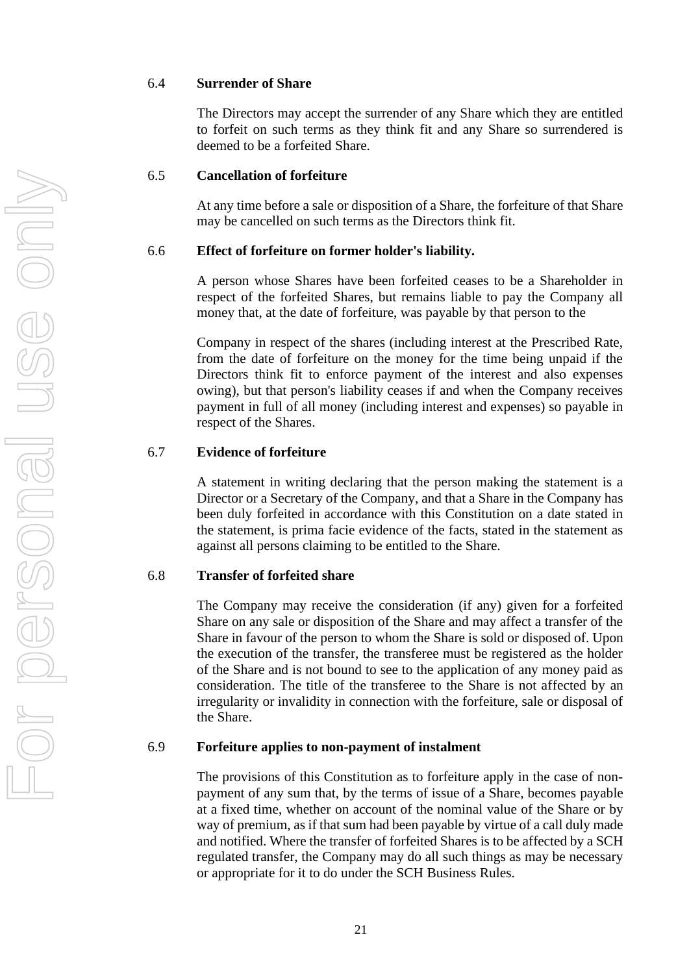#### <span id="page-21-0"></span>6.4 **Surrender of Share**

The Directors may accept the surrender of any Share which they are entitled to forfeit on such terms as they think fit and any Share so surrendered is deemed to be a forfeited Share.

## <span id="page-21-1"></span>6.5 **Cancellation of forfeiture**

At any time before a sale or disposition of a Share, the forfeiture of that Share may be cancelled on such terms as the Directors think fit.

## <span id="page-21-2"></span>6.6 **Effect of forfeiture on former holder's liability.**

A person whose Shares have been forfeited ceases to be a Shareholder in respect of the forfeited Shares, but remains liable to pay the Company all money that, at the date of forfeiture, was payable by that person to the

Company in respect of the shares (including interest at the Prescribed Rate, from the date of forfeiture on the money for the time being unpaid if the Directors think fit to enforce payment of the interest and also expenses owing), but that person's liability ceases if and when the Company receives payment in full of all money (including interest and expenses) so payable in respect of the Shares.

## <span id="page-21-3"></span>6.7 **Evidence of forfeiture**

A statement in writing declaring that the person making the statement is a Director or a Secretary of the Company, and that a Share in the Company has been duly forfeited in accordance with this Constitution on a date stated in the statement, is prima facie evidence of the facts, stated in the statement as against all persons claiming to be entitled to the Share.

## <span id="page-21-4"></span>6.8 **Transfer of forfeited share**

The Company may receive the consideration (if any) given for a forfeited Share on any sale or disposition of the Share and may affect a transfer of the Share in favour of the person to whom the Share is sold or disposed of. Upon the execution of the transfer, the transferee must be registered as the holder of the Share and is not bound to see to the application of any money paid as consideration. The title of the transferee to the Share is not affected by an irregularity or invalidity in connection with the forfeiture, sale or disposal of the Share.

#### <span id="page-21-5"></span>6.9 **Forfeiture applies to non-payment of instalment**

The provisions of this Constitution as to forfeiture apply in the case of nonpayment of any sum that, by the terms of issue of a Share, becomes payable at a fixed time, whether on account of the nominal value of the Share or by way of premium, as if that sum had been payable by virtue of a call duly made and notified. Where the transfer of forfeited Shares is to be affected by a SCH regulated transfer, the Company may do all such things as may be necessary or appropriate for it to do under the SCH Business Rules.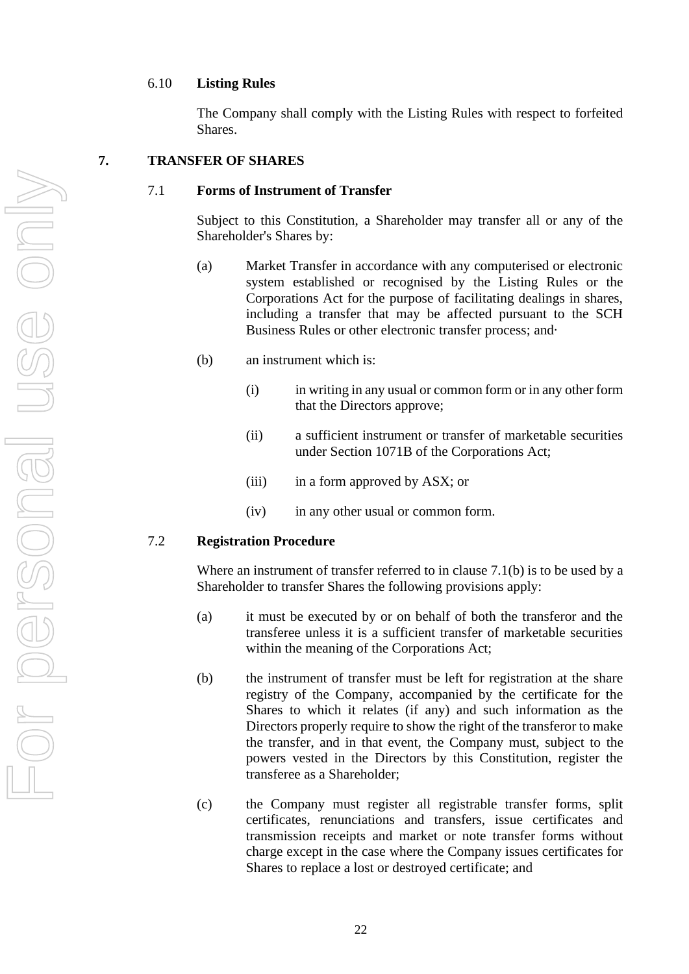## <span id="page-22-0"></span>6.10 **Listing Rules**

The Company shall comply with the Listing Rules with respect to forfeited Shares.

## <span id="page-22-2"></span><span id="page-22-1"></span>**7. TRANSFER OF SHARES**

## 7.1 **Forms of Instrument of Transfer**

Subject to this Constitution, a Shareholder may transfer all or any of the Shareholder's Shares by:

- (a) Market Transfer in accordance with any computerised or electronic system established or recognised by the Listing Rules or the Corporations Act for the purpose of facilitating dealings in shares, including a transfer that may be affected pursuant to the SCH Business Rules or other electronic transfer process; and·
- <span id="page-22-4"></span>(b) an instrument which is:
	- (i) in writing in any usual or common form or in any other form that the Directors approve;
	- (ii) a sufficient instrument or transfer of marketable securities under Section 1071B of the Corporations Act;
	- (iii) in a form approved by ASX; or
	- (iv) in any other usual or common form.

#### <span id="page-22-3"></span>7.2 **Registration Procedure**

Where an instrument of transfer referred to in clause [7.1\(b\)](#page-22-4) is to be used by a Shareholder to transfer Shares the following provisions apply:

- (a) it must be executed by or on behalf of both the transferor and the transferee unless it is a sufficient transfer of marketable securities within the meaning of the Corporations Act;
- (b) the instrument of transfer must be left for registration at the share registry of the Company, accompanied by the certificate for the Shares to which it relates (if any) and such information as the Directors properly require to show the right of the transferor to make the transfer, and in that event, the Company must, subject to the powers vested in the Directors by this Constitution, register the transferee as a Shareholder;
- (c) the Company must register all registrable transfer forms, split certificates, renunciations and transfers, issue certificates and transmission receipts and market or note transfer forms without charge except in the case where the Company issues certificates for Shares to replace a lost or destroyed certificate; and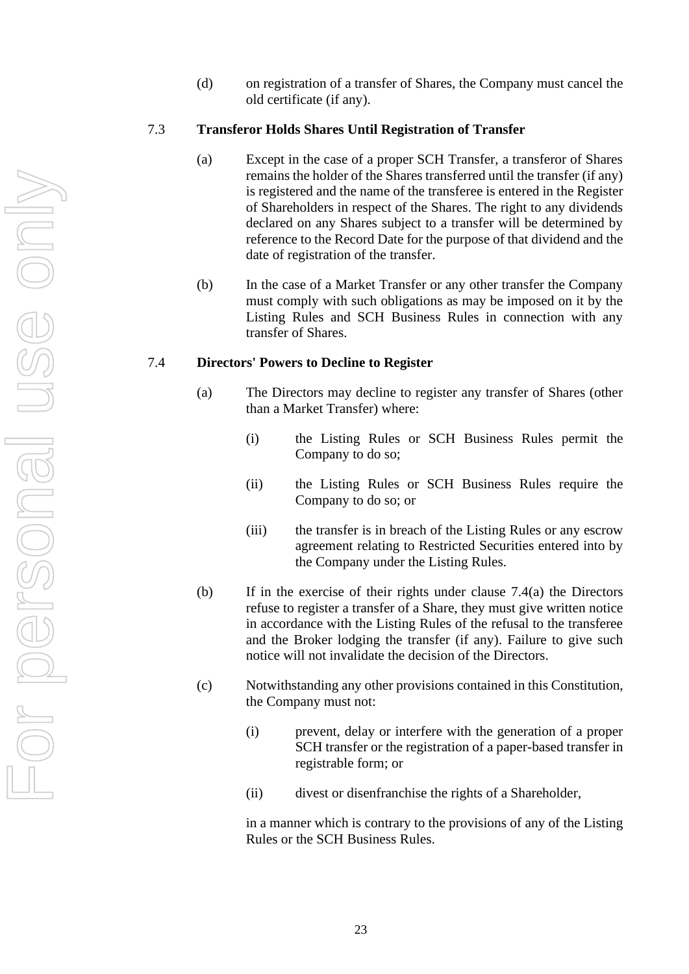(d) on registration of a transfer of Shares, the Company must cancel the old certificate (if any).

#### <span id="page-23-0"></span>7.3 **Transferor Holds Shares Until Registration of Transfer**

- (a) Except in the case of a proper SCH Transfer, a transferor of Shares remains the holder of the Shares transferred until the transfer (if any) is registered and the name of the transferee is entered in the Register of Shareholders in respect of the Shares. The right to any dividends declared on any Shares subject to a transfer will be determined by reference to the Record Date for the purpose of that dividend and the date of registration of the transfer.
- (b) In the case of a Market Transfer or any other transfer the Company must comply with such obligations as may be imposed on it by the Listing Rules and SCH Business Rules in connection with any transfer of Shares.

#### <span id="page-23-2"></span><span id="page-23-1"></span>7.4 **Directors' Powers to Decline to Register**

- (a) The Directors may decline to register any transfer of Shares (other than a Market Transfer) where:
	- (i) the Listing Rules or SCH Business Rules permit the Company to do so;
	- (ii) the Listing Rules or SCH Business Rules require the Company to do so; or
	- (iii) the transfer is in breach of the Listing Rules or any escrow agreement relating to Restricted Securities entered into by the Company under the Listing Rules.
- (b) If in the exercise of their rights under clause [7.4\(a\)](#page-23-2) the Directors refuse to register a transfer of a Share, they must give written notice in accordance with the Listing Rules of the refusal to the transferee and the Broker lodging the transfer (if any). Failure to give such notice will not invalidate the decision of the Directors.
- (c) Notwithstanding any other provisions contained in this Constitution, the Company must not:
	- (i) prevent, delay or interfere with the generation of a proper SCH transfer or the registration of a paper-based transfer in registrable form; or
	- (ii) divest or disenfranchise the rights of a Shareholder,

in a manner which is contrary to the provisions of any of the Listing Rules or the SCH Business Rules.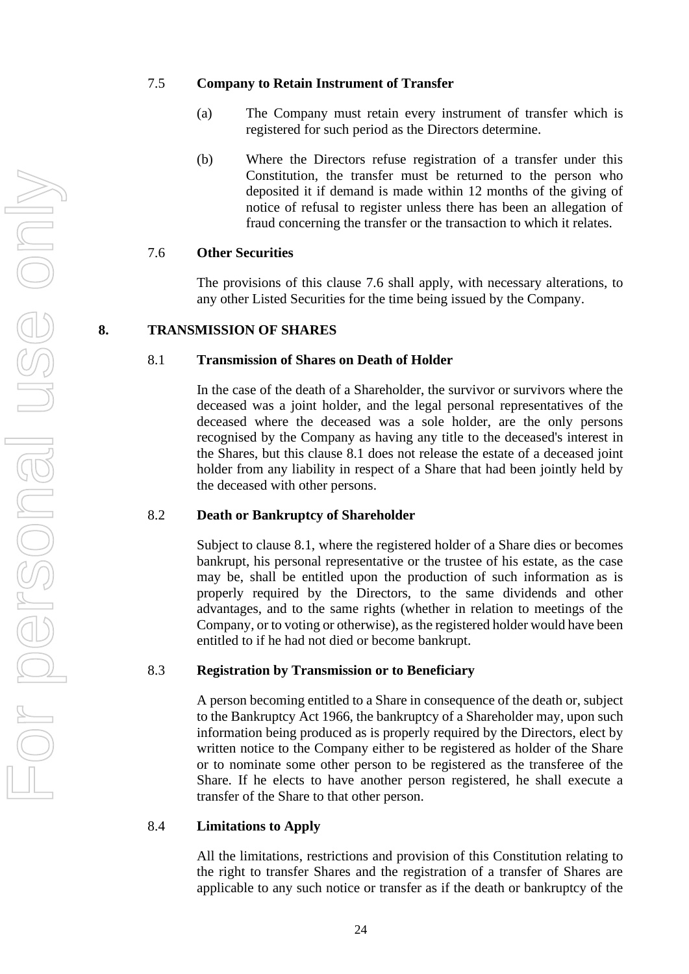## <span id="page-24-0"></span>7.5 **Company to Retain Instrument of Transfer**

- (a) The Company must retain every instrument of transfer which is registered for such period as the Directors determine.
- (b) Where the Directors refuse registration of a transfer under this Constitution, the transfer must be returned to the person who deposited it if demand is made within 12 months of the giving of notice of refusal to register unless there has been an allegation of fraud concerning the transfer or the transaction to which it relates.

## <span id="page-24-7"></span><span id="page-24-1"></span>7.6 **Other Securities**

The provisions of this clause [7.6](#page-24-7) shall apply, with necessary alterations, to any other Listed Securities for the time being issued by the Company.

## <span id="page-24-8"></span><span id="page-24-3"></span><span id="page-24-2"></span>**8. TRANSMISSION OF SHARES**

#### 8.1 **Transmission of Shares on Death of Holder**

In the case of the death of a Shareholder, the survivor or survivors where the deceased was a joint holder, and the legal personal representatives of the deceased where the deceased was a sole holder, are the only persons recognised by the Company as having any title to the deceased's interest in the Shares, but this clause [8.1](#page-24-8) does not release the estate of a deceased joint holder from any liability in respect of a Share that had been jointly held by the deceased with other persons.

## <span id="page-24-4"></span>8.2 **Death or Bankruptcy of Shareholder**

Subject to clause [8.1,](#page-24-8) where the registered holder of a Share dies or becomes bankrupt, his personal representative or the trustee of his estate, as the case may be, shall be entitled upon the production of such information as is properly required by the Directors, to the same dividends and other advantages, and to the same rights (whether in relation to meetings of the Company, or to voting or otherwise), as the registered holder would have been entitled to if he had not died or become bankrupt.

#### <span id="page-24-5"></span>8.3 **Registration by Transmission or to Beneficiary**

A person becoming entitled to a Share in consequence of the death or, subject to the Bankruptcy Act 1966, the bankruptcy of a Shareholder may, upon such information being produced as is properly required by the Directors, elect by written notice to the Company either to be registered as holder of the Share or to nominate some other person to be registered as the transferee of the Share. If he elects to have another person registered, he shall execute a transfer of the Share to that other person.

#### <span id="page-24-6"></span>8.4 **Limitations to Apply**

All the limitations, restrictions and provision of this Constitution relating to the right to transfer Shares and the registration of a transfer of Shares are applicable to any such notice or transfer as if the death or bankruptcy of the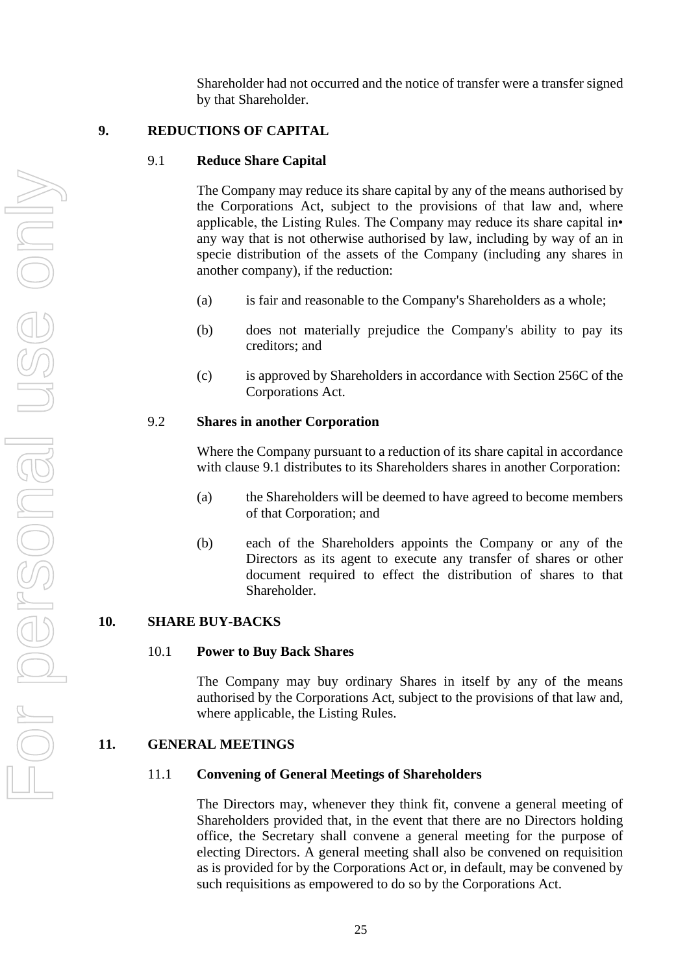Shareholder had not occurred and the notice of transfer were a transfer signed by that Shareholder.

## <span id="page-25-7"></span><span id="page-25-1"></span><span id="page-25-0"></span>**9. REDUCTIONS OF CAPITAL**

#### 9.1 **Reduce Share Capital**

The Company may reduce its share capital by any of the means authorised by the Corporations Act, subject to the provisions of that law and, where applicable, the Listing Rules. The Company may reduce its share capital in• any way that is not otherwise authorised by law, including by way of an in specie distribution of the assets of the Company (including any shares in another company), if the reduction:

- (a) is fair and reasonable to the Company's Shareholders as a whole;
- (b) does not materially prejudice the Company's ability to pay its creditors; and
- (c) is approved by Shareholders in accordance with Section 256C of the Corporations Act.

#### <span id="page-25-2"></span>9.2 **Shares in another Corporation**

Where the Company pursuant to a reduction of its share capital in accordance with clause [9.1](#page-25-7) distributes to its Shareholders shares in another Corporation:

- (a) the Shareholders will be deemed to have agreed to become members of that Corporation; and
- (b) each of the Shareholders appoints the Company or any of the Directors as its agent to execute any transfer of shares or other document required to effect the distribution of shares to that Shareholder.

#### <span id="page-25-8"></span><span id="page-25-4"></span><span id="page-25-3"></span>**10. SHARE BUY-BACKS**

#### 10.1 **Power to Buy Back Shares**

The Company may buy ordinary Shares in itself by any of the means authorised by the Corporations Act, subject to the provisions of that law and, where applicable, the Listing Rules.

## <span id="page-25-6"></span><span id="page-25-5"></span>**11. GENERAL MEETINGS**

#### 11.1 **Convening of General Meetings of Shareholders**

The Directors may, whenever they think fit, convene a general meeting of Shareholders provided that, in the event that there are no Directors holding office, the Secretary shall convene a general meeting for the purpose of electing Directors. A general meeting shall also be convened on requisition as is provided for by the Corporations Act or, in default, may be convened by such requisitions as empowered to do so by the Corporations Act.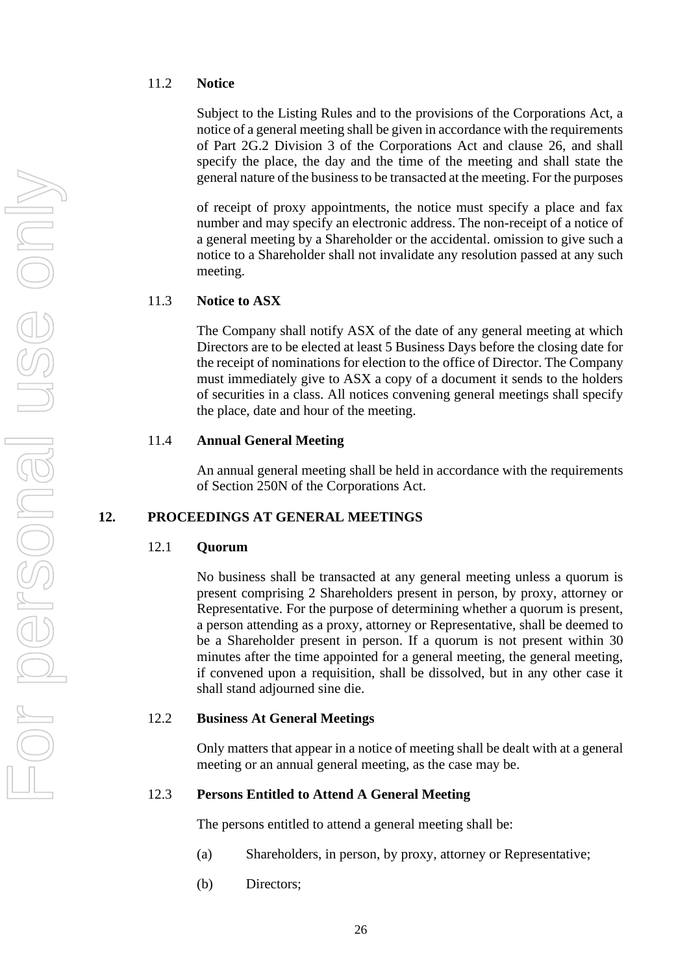## <span id="page-26-0"></span>11.2 **Notice**

Subject to the Listing Rules and to the provisions of the Corporations Act, a notice of a general meeting shall be given in accordance with the requirements of Part 2G.2 Division 3 of the Corporations Act and clause [26,](#page-46-7) and shall specify the place, the day and the time of the meeting and shall state the general nature of the business to be transacted at the meeting. For the purposes

of receipt of proxy appointments, the notice must specify a place and fax number and may specify an electronic address. The non-receipt of a notice of a general meeting by a Shareholder or the accidental. omission to give such a notice to a Shareholder shall not invalidate any resolution passed at any such meeting.

## <span id="page-26-1"></span>11.3 **Notice to ASX**

The Company shall notify ASX of the date of any general meeting at which Directors are to be elected at least 5 Business Days before the closing date for the receipt of nominations for election to the office of Director. The Company must immediately give to ASX a copy of a document it sends to the holders of securities in a class. All notices convening general meetings shall specify the place, date and hour of the meeting.

#### <span id="page-26-2"></span>11.4 **Annual General Meeting**

An annual general meeting shall be held in accordance with the requirements of Section 250N of the Corporations Act.

## <span id="page-26-4"></span><span id="page-26-3"></span>**12. PROCEEDINGS AT GENERAL MEETINGS**

#### 12.1 **Quorum**

No business shall be transacted at any general meeting unless a quorum is present comprising 2 Shareholders present in person, by proxy, attorney or Representative. For the purpose of determining whether a quorum is present, a person attending as a proxy, attorney or Representative, shall be deemed to be a Shareholder present in person. If a quorum is not present within 30 minutes after the time appointed for a general meeting, the general meeting, if convened upon a requisition, shall be dissolved, but in any other case it shall stand adjourned sine die.

### <span id="page-26-5"></span>12.2 **Business At General Meetings**

Only matters that appear in a notice of meeting shall be dealt with at a general meeting or an annual general meeting, as the case may be.

## <span id="page-26-6"></span>12.3 **Persons Entitled to Attend A General Meeting**

The persons entitled to attend a general meeting shall be:

- (a) Shareholders, in person, by proxy, attorney or Representative;
- (b) Directors;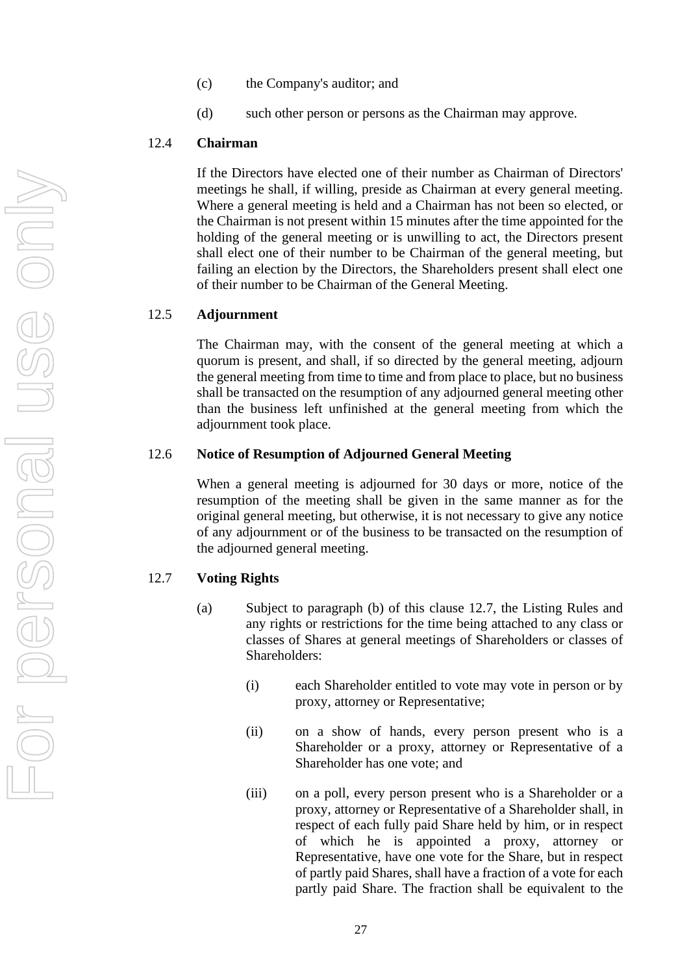- (c) the Company's auditor; and
- (d) such other person or persons as the Chairman may approve.

## <span id="page-27-4"></span><span id="page-27-0"></span>12.4 **Chairman**

If the Directors have elected one of their number as Chairman of Directors' meetings he shall, if willing, preside as Chairman at every general meeting. Where a general meeting is held and a Chairman has not been so elected, or the Chairman is not present within 15 minutes after the time appointed for the holding of the general meeting or is unwilling to act, the Directors present shall elect one of their number to be Chairman of the general meeting, but failing an election by the Directors, the Shareholders present shall elect one of their number to be Chairman of the General Meeting.

## <span id="page-27-1"></span>12.5 **Adjournment**

The Chairman may, with the consent of the general meeting at which a quorum is present, and shall, if so directed by the general meeting, adjourn the general meeting from time to time and from place to place, but no business shall be transacted on the resumption of any adjourned general meeting other than the business left unfinished at the general meeting from which the adjournment took place.

## <span id="page-27-6"></span><span id="page-27-2"></span>12.6 **Notice of Resumption of Adjourned General Meeting**

When a general meeting is adjourned for 30 days or more, notice of the resumption of the meeting shall be given in the same manner as for the original general meeting, but otherwise, it is not necessary to give any notice of any adjournment or of the business to be transacted on the resumption of the adjourned general meeting.

## <span id="page-27-5"></span><span id="page-27-3"></span>12.7 **Voting Rights**

- (a) Subject to paragraph (b) of this clause [12.7,](#page-27-5) the Listing Rules and any rights or restrictions for the time being attached to any class or classes of Shares at general meetings of Shareholders or classes of Shareholders:
	- (i) each Shareholder entitled to vote may vote in person or by proxy, attorney or Representative;
	- (ii) on a show of hands, every person present who is a Shareholder or a proxy, attorney or Representative of a Shareholder has one vote; and
	- (iii) on a poll, every person present who is a Shareholder or a proxy, attorney or Representative of a Shareholder shall, in respect of each fully paid Share held by him, or in respect of which he is appointed a proxy, attorney or Representative, have one vote for the Share, but in respect of partly paid Shares, shall have a fraction of a vote for each partly paid Share. The fraction shall be equivalent to the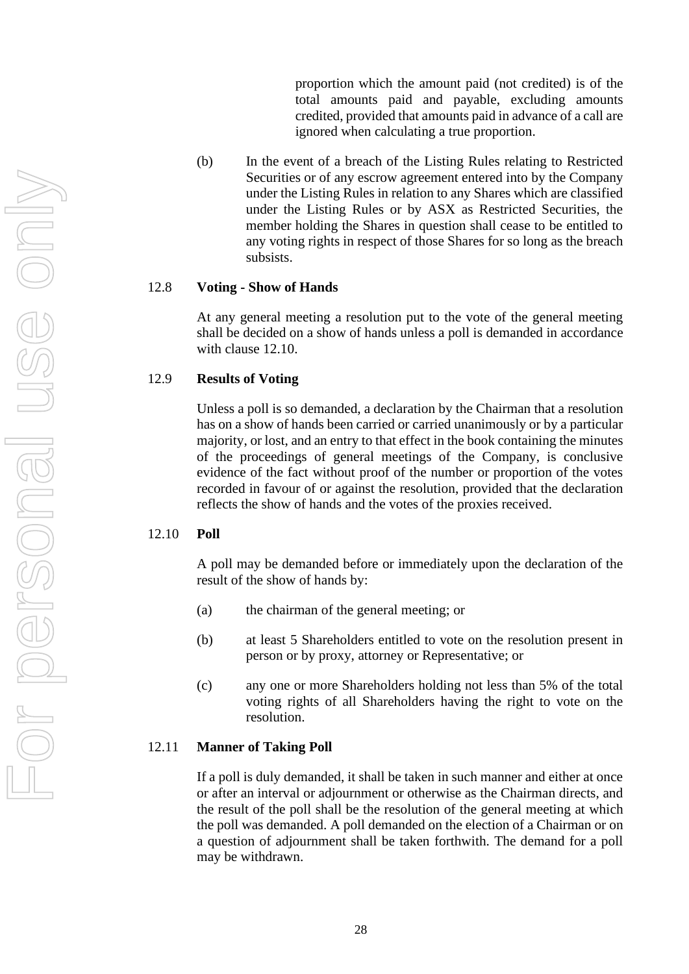proportion which the amount paid (not credited) is of the total amounts paid and payable, excluding amounts credited, provided that amounts paid in advance of a call are ignored when calculating a true proportion.

(b) In the event of a breach of the Listing Rules relating to Restricted Securities or of any escrow agreement entered into by the Company under the Listing Rules in relation to any Shares which are classified under the Listing Rules or by ASX as Restricted Securities, the member holding the Shares in question shall cease to be entitled to any voting rights in respect of those Shares for so long as the breach subsists.

### <span id="page-28-0"></span>12.8 **Voting - Show of Hands**

At any general meeting a resolution put to the vote of the general meeting shall be decided on a show of hands unless a poll is demanded in accordance with clause [12.10.](#page-28-4)

## <span id="page-28-1"></span>12.9 **Results of Voting**

Unless a poll is so demanded, a declaration by the Chairman that a resolution has on a show of hands been carried or carried unanimously or by a particular majority, or lost, and an entry to that effect in the book containing the minutes of the proceedings of general meetings of the Company, is conclusive evidence of the fact without proof of the number or proportion of the votes recorded in favour of or against the resolution, provided that the declaration reflects the show of hands and the votes of the proxies received.

#### <span id="page-28-4"></span><span id="page-28-2"></span>12.10 **Poll**

A poll may be demanded before or immediately upon the declaration of the result of the show of hands by:

- (a) the chairman of the general meeting; or
- (b) at least 5 Shareholders entitled to vote on the resolution present in person or by proxy, attorney or Representative; or
- (c) any one or more Shareholders holding not less than 5% of the total voting rights of all Shareholders having the right to vote on the resolution.

#### <span id="page-28-3"></span>12.11 **Manner of Taking Poll**

If a poll is duly demanded, it shall be taken in such manner and either at once or after an interval or adjournment or otherwise as the Chairman directs, and the result of the poll shall be the resolution of the general meeting at which the poll was demanded. A poll demanded on the election of a Chairman or on a question of adjournment shall be taken forthwith. The demand for a poll may be withdrawn.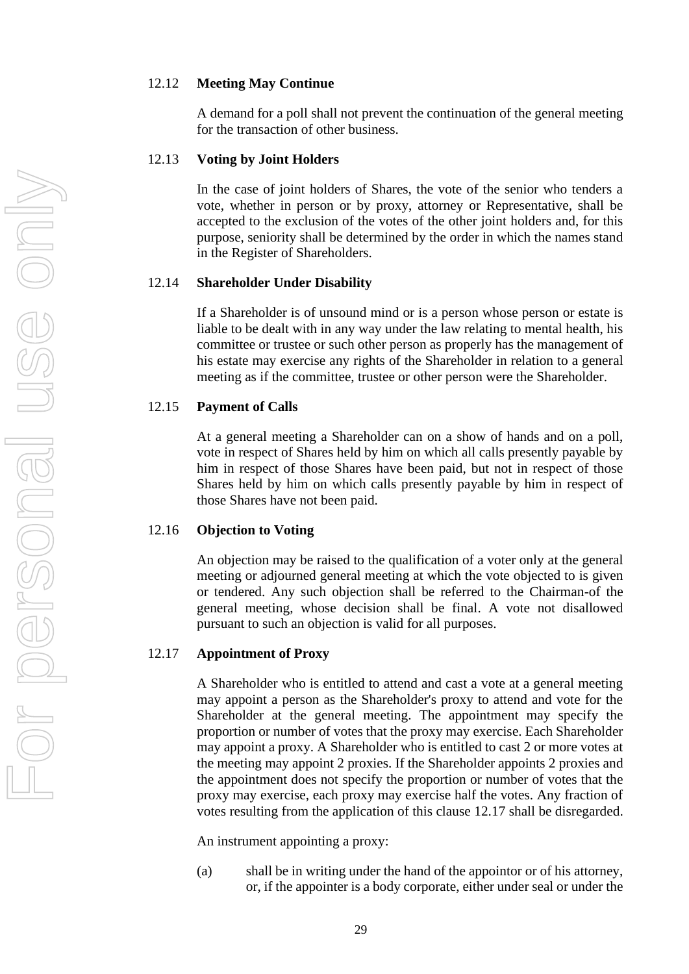## <span id="page-29-0"></span>12.12 **Meeting May Continue**

A demand for a poll shall not prevent the continuation of the general meeting for the transaction of other business.

#### <span id="page-29-1"></span>12.13 **Voting by Joint Holders**

In the case of joint holders of Shares, the vote of the senior who tenders a vote, whether in person or by proxy, attorney or Representative, shall be accepted to the exclusion of the votes of the other joint holders and, for this purpose, seniority shall be determined by the order in which the names stand in the Register of Shareholders.

#### <span id="page-29-2"></span>12.14 **Shareholder Under Disability**

If a Shareholder is of unsound mind or is a person whose person or estate is liable to be dealt with in any way under the law relating to mental health, his committee or trustee or such other person as properly has the management of his estate may exercise any rights of the Shareholder in relation to a general meeting as if the committee, trustee or other person were the Shareholder.

#### <span id="page-29-3"></span>12.15 **Payment of Calls**

At a general meeting a Shareholder can on a show of hands and on a poll, vote in respect of Shares held by him on which all calls presently payable by him in respect of those Shares have been paid, but not in respect of those Shares held by him on which calls presently payable by him in respect of those Shares have not been paid.

#### <span id="page-29-4"></span>12.16 **Objection to Voting**

An objection may be raised to the qualification of a voter only at the general meeting or adjourned general meeting at which the vote objected to is given or tendered. Any such objection shall be referred to the Chairman-of the general meeting, whose decision shall be final. A vote not disallowed pursuant to such an objection is valid for all purposes.

#### <span id="page-29-6"></span><span id="page-29-5"></span>12.17 **Appointment of Proxy**

A Shareholder who is entitled to attend and cast a vote at a general meeting may appoint a person as the Shareholder's proxy to attend and vote for the Shareholder at the general meeting. The appointment may specify the proportion or number of votes that the proxy may exercise. Each Shareholder may appoint a proxy. A Shareholder who is entitled to cast 2 or more votes at the meeting may appoint 2 proxies. If the Shareholder appoints 2 proxies and the appointment does not specify the proportion or number of votes that the proxy may exercise, each proxy may exercise half the votes. Any fraction of votes resulting from the application of this clause [12.17](#page-29-6) shall be disregarded.

An instrument appointing a proxy:

(a) shall be in writing under the hand of the appointor or of his attorney, or, if the appointer is a body corporate, either under seal or under the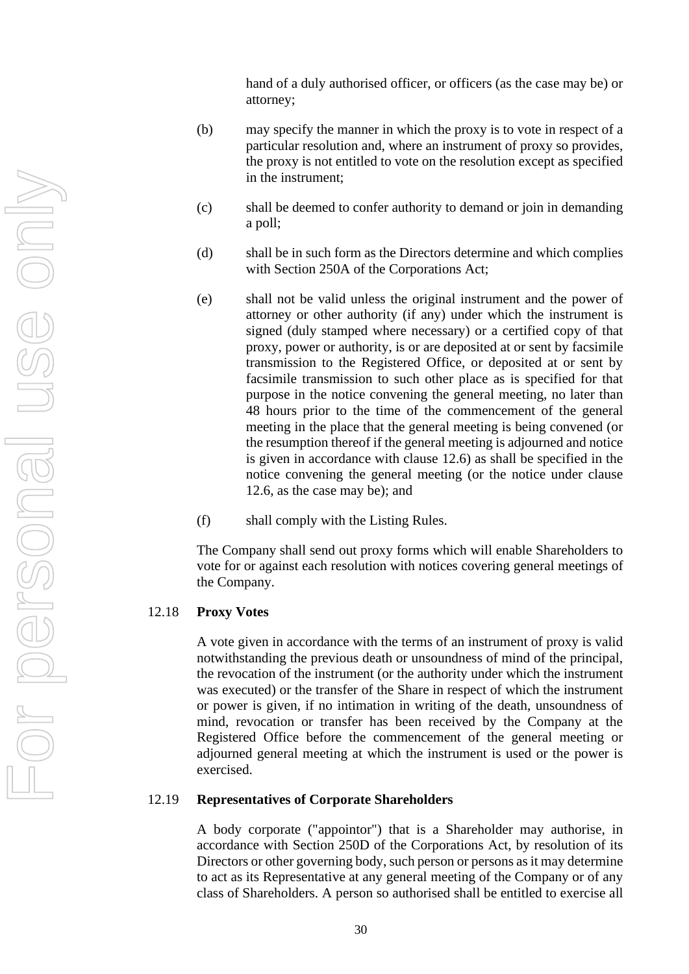hand of a duly authorised officer, or officers (as the case may be) or attorney;

- (b) may specify the manner in which the proxy is to vote in respect of a particular resolution and, where an instrument of proxy so provides, the proxy is not entitled to vote on the resolution except as specified in the instrument;
- (c) shall be deemed to confer authority to demand or join in demanding a poll;
- (d) shall be in such form as the Directors determine and which complies with Section 250A of the Corporations Act;
- (e) shall not be valid unless the original instrument and the power of attorney or other authority (if any) under which the instrument is signed (duly stamped where necessary) or a certified copy of that proxy, power or authority, is or are deposited at or sent by facsimile transmission to the Registered Office, or deposited at or sent by facsimile transmission to such other place as is specified for that purpose in the notice convening the general meeting, no later than 48 hours prior to the time of the commencement of the general meeting in the place that the general meeting is being convened (or the resumption thereof if the general meeting is adjourned and notice is given in accordance with clause [12.6\)](#page-27-6) as shall be specified in the notice convening the general meeting (or the notice under clause [12.6,](#page-27-6) as the case may be); and
- (f) shall comply with the Listing Rules.

The Company shall send out proxy forms which will enable Shareholders to vote for or against each resolution with notices covering general meetings of the Company.

#### <span id="page-30-0"></span>12.18 **Proxy Votes**

A vote given in accordance with the terms of an instrument of proxy is valid notwithstanding the previous death or unsoundness of mind of the principal, the revocation of the instrument (or the authority under which the instrument was executed) or the transfer of the Share in respect of which the instrument or power is given, if no intimation in writing of the death, unsoundness of mind, revocation or transfer has been received by the Company at the Registered Office before the commencement of the general meeting or adjourned general meeting at which the instrument is used or the power is exercised.

#### <span id="page-30-2"></span><span id="page-30-1"></span>12.19 **Representatives of Corporate Shareholders**

A body corporate ("appointor") that is a Shareholder may authorise, in accordance with Section 250D of the Corporations Act, by resolution of its Directors or other governing body, such person or persons as it may determine to act as its Representative at any general meeting of the Company or of any class of Shareholders. A person so authorised shall be entitled to exercise all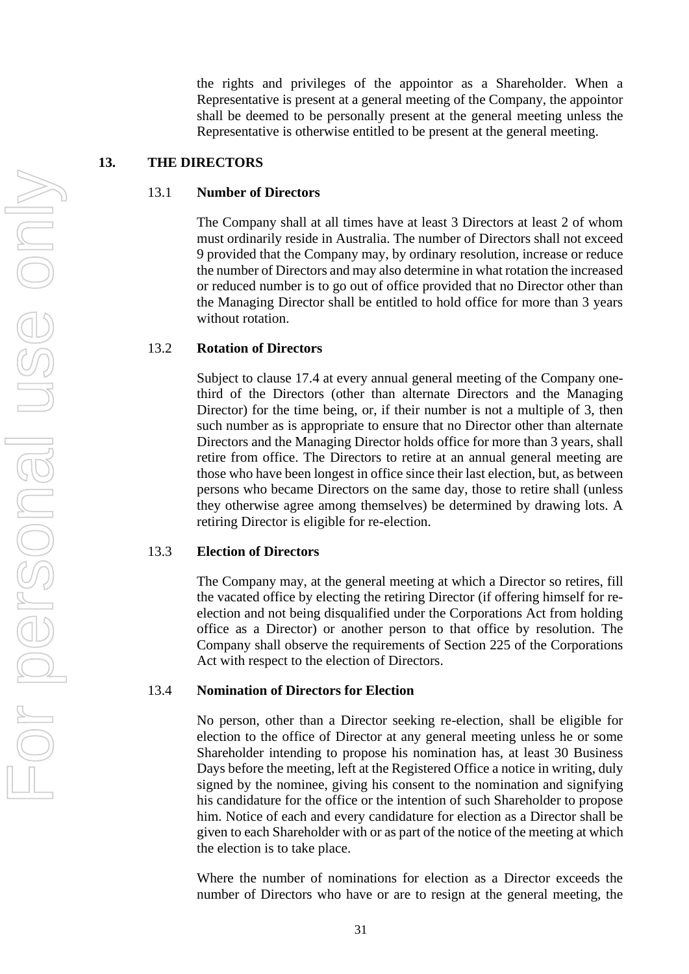the rights and privileges of the appointor as a Shareholder. When a Representative is present at a general meeting of the Company, the appointor shall be deemed to be personally present at the general meeting unless the Representative is otherwise entitled to be present at the general meeting.

## <span id="page-31-1"></span><span id="page-31-0"></span>**13. THE DIRECTORS**

#### 13.1 **Number of Directors**

The Company shall at all times have at least 3 Directors at least 2 of whom must ordinarily reside in Australia. The number of Directors shall not exceed 9 provided that the Company may, by ordinary resolution, increase or reduce the number of Directors and may also determine in what rotation the increased or reduced number is to go out of office provided that no Director other than the Managing Director shall be entitled to hold office for more than 3 years without rotation.

## <span id="page-31-5"></span><span id="page-31-2"></span>13.2 **Rotation of Directors**

Subject to clause [17.4](#page-40-9) at every annual general meeting of the Company onethird of the Directors (other than alternate Directors and the Managing Director) for the time being, or, if their number is not a multiple of 3, then such number as is appropriate to ensure that no Director other than alternate Directors and the Managing Director holds office for more than 3 years, shall retire from office. The Directors to retire at an annual general meeting are those who have been longest in office since their last election, but, as between persons who became Directors on the same day, those to retire shall (unless they otherwise agree among themselves) be determined by drawing lots. A retiring Director is eligible for re-election.

## <span id="page-31-3"></span>13.3 **Election of Directors**

The Company may, at the general meeting at which a Director so retires, fill the vacated office by electing the retiring Director (if offering himself for reelection and not being disqualified under the Corporations Act from holding office as a Director) or another person to that office by resolution. The Company shall observe the requirements of Section 225 of the Corporations Act with respect to the election of Directors.

#### <span id="page-31-4"></span>13.4 **Nomination of Directors for Election**

No person, other than a Director seeking re-election, shall be eligible for election to the office of Director at any general meeting unless he or some Shareholder intending to propose his nomination has, at least 30 Business Days before the meeting, left at the Registered Office a notice in writing, duly signed by the nominee, giving his consent to the nomination and signifying his candidature for the office or the intention of such Shareholder to propose him. Notice of each and every candidature for election as a Director shall be given to each Shareholder with or as part of the notice of the meeting at which the election is to take place.

Where the number of nominations for election as a Director exceeds the number of Directors who have or are to resign at the general meeting, the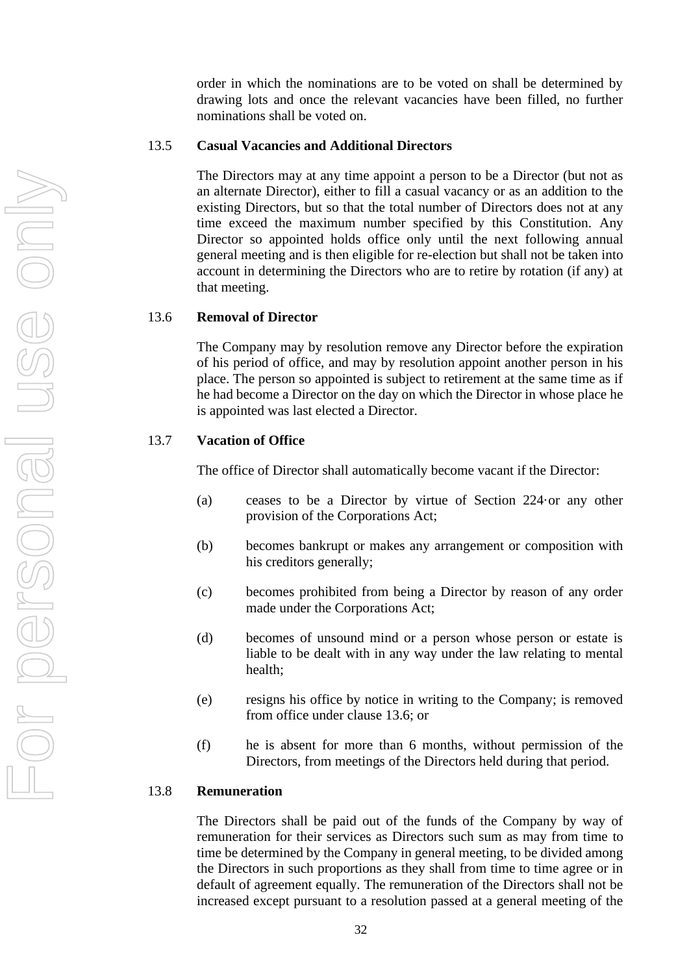order in which the nominations are to be voted on shall be determined by drawing lots and once the relevant vacancies have been filled, no further nominations shall be voted on.

## <span id="page-32-0"></span>13.5 **Casual Vacancies and Additional Directors**

The Directors may at any time appoint a person to be a Director (but not as an alternate Director), either to fill a casual vacancy or as an addition to the existing Directors, but so that the total number of Directors does not at any time exceed the maximum number specified by this Constitution. Any Director so appointed holds office only until the next following annual general meeting and is then eligible for re-election but shall not be taken into account in determining the Directors who are to retire by rotation (if any) at that meeting.

#### <span id="page-32-4"></span><span id="page-32-1"></span>13.6 **Removal of Director**

The Company may by resolution remove any Director before the expiration of his period of office, and may by resolution appoint another person in his place. The person so appointed is subject to retirement at the same time as if he had become a Director on the day on which the Director in whose place he is appointed was last elected a Director.

## <span id="page-32-2"></span>13.7 **Vacation of Office**

The office of Director shall automatically become vacant if the Director:

- (a) ceases to be a Director by virtue of Section 224·or any other provision of the Corporations Act;
- (b) becomes bankrupt or makes any arrangement or composition with his creditors generally;
- (c) becomes prohibited from being a Director by reason of any order made under the Corporations Act;
- (d) becomes of unsound mind or a person whose person or estate is liable to be dealt with in any way under the law relating to mental health;
- (e) resigns his office by notice in writing to the Company; is removed from office under clause [13.6;](#page-32-4) or
- (f) he is absent for more than 6 months, without permission of the Directors, from meetings of the Directors held during that period.

## <span id="page-32-5"></span><span id="page-32-3"></span>13.8 **Remuneration**

The Directors shall be paid out of the funds of the Company by way of remuneration for their services as Directors such sum as may from time to time be determined by the Company in general meeting, to be divided among the Directors in such proportions as they shall from time to time agree or in default of agreement equally. The remuneration of the Directors shall not be increased except pursuant to a resolution passed at a general meeting of the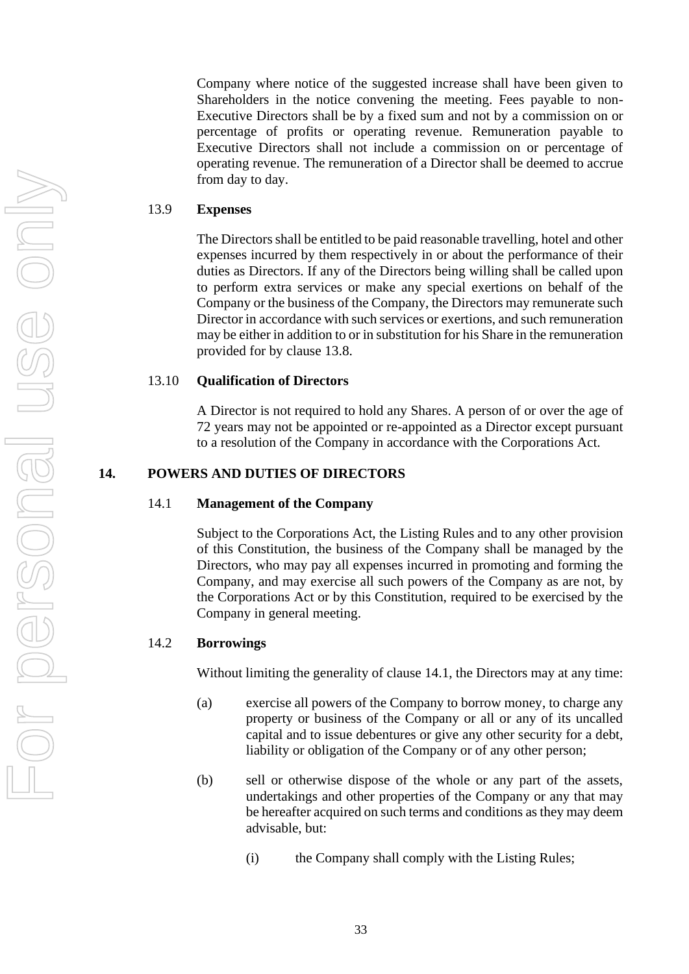Company where notice of the suggested increase shall have been given to Shareholders in the notice convening the meeting. Fees payable to non-Executive Directors shall be by a fixed sum and not by a commission on or percentage of profits or operating revenue. Remuneration payable to Executive Directors shall not include a commission on or percentage of operating revenue. The remuneration of a Director shall be deemed to accrue from day to day.

## <span id="page-33-0"></span>13.9 **Expenses**

The Directors shall be entitled to be paid reasonable travelling, hotel and other expenses incurred by them respectively in or about the performance of their duties as Directors. If any of the Directors being willing shall be called upon to perform extra services or make any special exertions on behalf of the Company or the business of the Company, the Directors may remunerate such Director in accordance with such services or exertions, and such remuneration may be either in addition to or in substitution for his Share in the remuneration provided for by clause [13.8.](#page-32-5)

#### <span id="page-33-1"></span>13.10 **Qualification of Directors**

A Director is not required to hold any Shares. A person of or over the age of 72 years may not be appointed or re-appointed as a Director except pursuant to a resolution of the Company in accordance with the Corporations Act.

## <span id="page-33-5"></span><span id="page-33-3"></span><span id="page-33-2"></span>**14. POWERS AND DUTIES OF DIRECTORS**

#### 14.1 **Management of the Company**

Subject to the Corporations Act, the Listing Rules and to any other provision of this Constitution, the business of the Company shall be managed by the Directors, who may pay all expenses incurred in promoting and forming the Company, and may exercise all such powers of the Company as are not, by the Corporations Act or by this Constitution, required to be exercised by the Company in general meeting.

#### <span id="page-33-4"></span>14.2 **Borrowings**

Without limiting the generality of clause [14.1,](#page-33-5) the Directors may at any time:

- (a) exercise all powers of the Company to borrow money, to charge any property or business of the Company or all or any of its uncalled capital and to issue debentures or give any other security for a debt, liability or obligation of the Company or of any other person;
- (b) sell or otherwise dispose of the whole or any part of the assets, undertakings and other properties of the Company or any that may be hereafter acquired on such terms and conditions as they may deem advisable, but:
	- (i) the Company shall comply with the Listing Rules;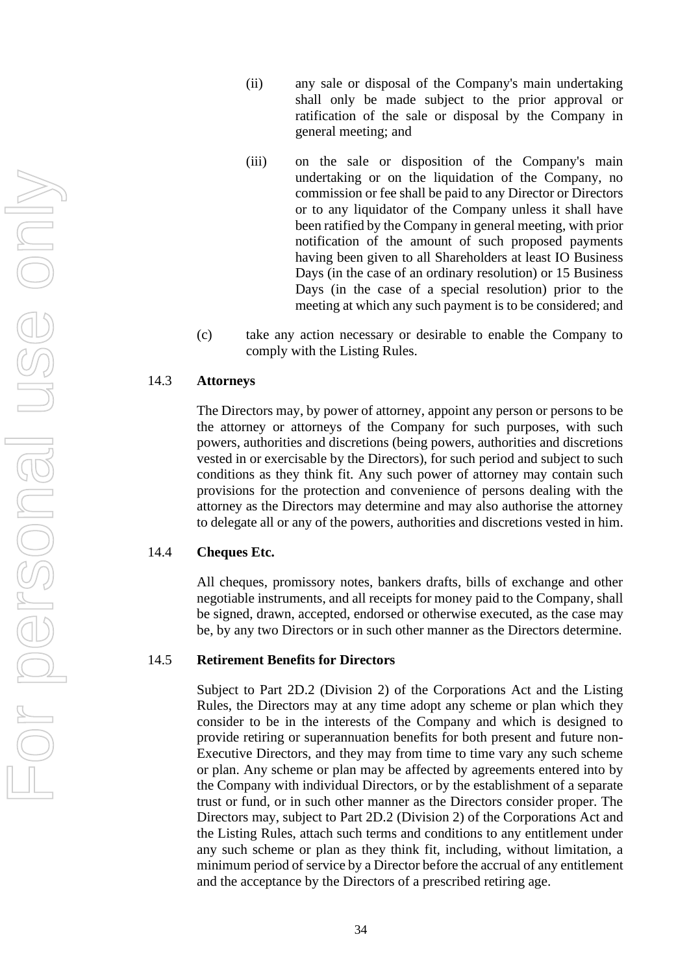- (ii) any sale or disposal of the Company's main undertaking shall only be made subject to the prior approval or ratification of the sale or disposal by the Company in general meeting; and
- (iii) on the sale or disposition of the Company's main undertaking or on the liquidation of the Company, no commission or fee shall be paid to any Director or Directors or to any liquidator of the Company unless it shall have been ratified by the Company in general meeting, with prior notification of the amount of such proposed payments having been given to all Shareholders at least IO Business Days (in the case of an ordinary resolution) or 15 Business Days (in the case of a special resolution) prior to the meeting at which any such payment is to be considered; and
- (c) take any action necessary or desirable to enable the Company to comply with the Listing Rules.

## <span id="page-34-0"></span>14.3 **Attorneys**

The Directors may, by power of attorney, appoint any person or persons to be the attorney or attorneys of the Company for such purposes, with such powers, authorities and discretions (being powers, authorities and discretions vested in or exercisable by the Directors), for such period and subject to such conditions as they think fit. Any such power of attorney may contain such provisions for the protection and convenience of persons dealing with the attorney as the Directors may determine and may also authorise the attorney to delegate all or any of the powers, authorities and discretions vested in him.

## <span id="page-34-1"></span>14.4 **Cheques Etc.**

All cheques, promissory notes, bankers drafts, bills of exchange and other negotiable instruments, and all receipts for money paid to the Company, shall be signed, drawn, accepted, endorsed or otherwise executed, as the case may be, by any two Directors or in such other manner as the Directors determine.

### <span id="page-34-2"></span>14.5 **Retirement Benefits for Directors**

Subject to Part 2D.2 (Division 2) of the Corporations Act and the Listing Rules, the Directors may at any time adopt any scheme or plan which they consider to be in the interests of the Company and which is designed to provide retiring or superannuation benefits for both present and future non-Executive Directors, and they may from time to time vary any such scheme or plan. Any scheme or plan may be affected by agreements entered into by the Company with individual Directors, or by the establishment of a separate trust or fund, or in such other manner as the Directors consider proper. The Directors may, subject to Part 2D.2 (Division 2) of the Corporations Act and the Listing Rules, attach such terms and conditions to any entitlement under any such scheme or plan as they think fit, including, without limitation, a minimum period of service by a Director before the accrual of any entitlement and the acceptance by the Directors of a prescribed retiring age.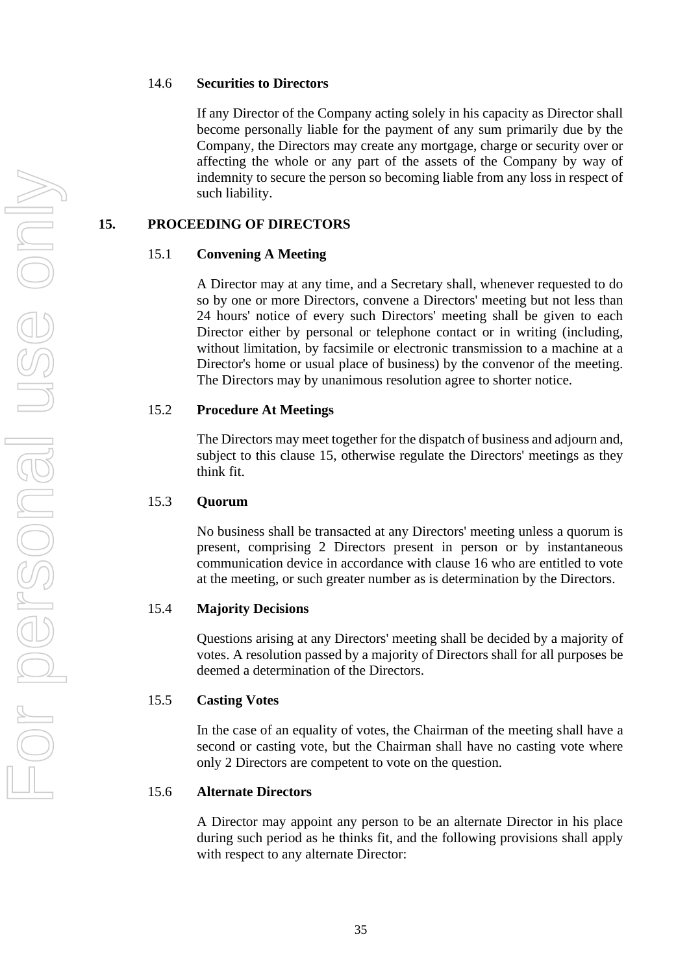## <span id="page-35-0"></span>14.6 **Securities to Directors**

If any Director of the Company acting solely in his capacity as Director shall become personally liable for the payment of any sum primarily due by the Company, the Directors may create any mortgage, charge or security over or affecting the whole or any part of the assets of the Company by way of indemnity to secure the person so becoming liable from any loss in respect of such liability.

## <span id="page-35-8"></span><span id="page-35-2"></span><span id="page-35-1"></span>**15. PROCEEDING OF DIRECTORS**

## 15.1 **Convening A Meeting**

A Director may at any time, and a Secretary shall, whenever requested to do so by one or more Directors, convene a Directors' meeting but not less than 24 hours' notice of every such Directors' meeting shall be given to each Director either by personal or telephone contact or in writing (including, without limitation, by facsimile or electronic transmission to a machine at a Director's home or usual place of business) by the convenor of the meeting. The Directors may by unanimous resolution agree to shorter notice.

## <span id="page-35-3"></span>15.2 **Procedure At Meetings**

The Directors may meet together for the dispatch of business and adjourn and, subject to this clause [15,](#page-35-8) otherwise regulate the Directors' meetings as they think fit.

## <span id="page-35-4"></span>15.3 **Quorum**

No business shall be transacted at any Directors' meeting unless a quorum is present, comprising 2 Directors present in person or by instantaneous communication device in accordance with clause [16](#page-38-4) who are entitled to vote at the meeting, or such greater number as is determination by the Directors.

## <span id="page-35-5"></span>15.4 **Majority Decisions**

Questions arising at any Directors' meeting shall be decided by a majority of votes. A resolution passed by a majority of Directors shall for all purposes be deemed a determination of the Directors.

## <span id="page-35-6"></span>15.5 **Casting Votes**

In the case of an equality of votes, the Chairman of the meeting shall have a second or casting vote, but the Chairman shall have no casting vote where only 2 Directors are competent to vote on the question.

## <span id="page-35-7"></span>15.6 **Alternate Directors**

A Director may appoint any person to be an alternate Director in his place during such period as he thinks fit, and the following provisions shall apply with respect to any alternate Director: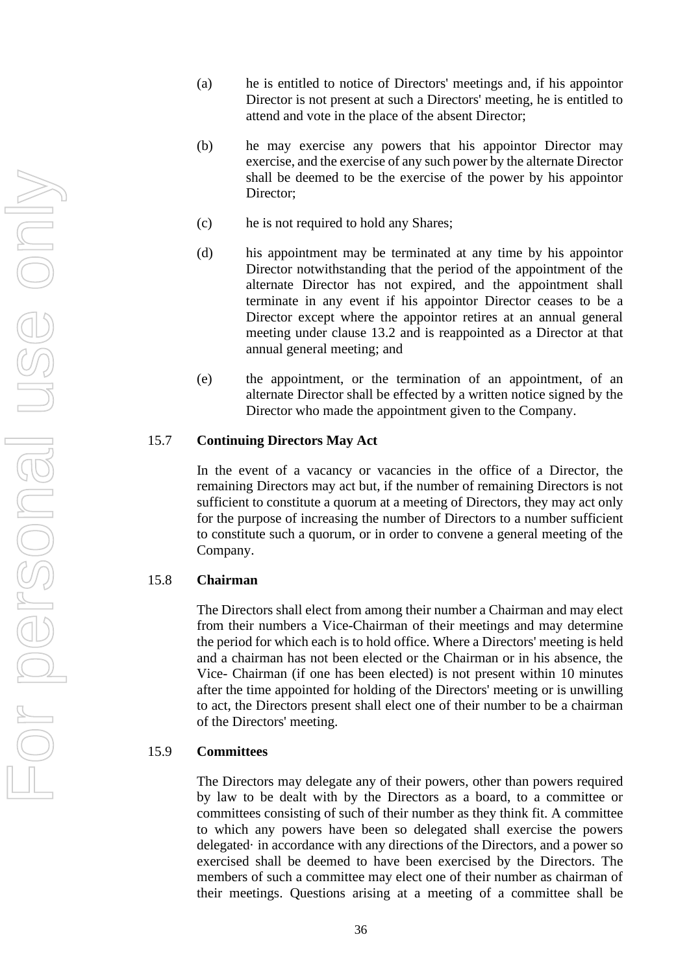- (a) he is entitled to notice of Directors' meetings and, if his appointor Director is not present at such a Directors' meeting, he is entitled to attend and vote in the place of the absent Director;
- (b) he may exercise any powers that his appointor Director may exercise, and the exercise of any such power by the alternate Director shall be deemed to be the exercise of the power by his appointor Director;
- (c) he is not required to hold any Shares;
- (d) his appointment may be terminated at any time by his appointor Director notwithstanding that the period of the appointment of the alternate Director has not expired, and the appointment shall terminate in any event if his appointor Director ceases to be a Director except where the appointor retires at an annual general meeting under clause [13.2](#page-31-5) and is reappointed as a Director at that annual general meeting; and
- (e) the appointment, or the termination of an appointment, of an alternate Director shall be effected by a written notice signed by the Director who made the appointment given to the Company.

## <span id="page-36-0"></span>15.7 **Continuing Directors May Act**

In the event of a vacancy or vacancies in the office of a Director, the remaining Directors may act but, if the number of remaining Directors is not sufficient to constitute a quorum at a meeting of Directors, they may act only for the purpose of increasing the number of Directors to a number sufficient to constitute such a quorum, or in order to convene a general meeting of the Company.

## <span id="page-36-3"></span><span id="page-36-1"></span>15.8 **Chairman**

The Directors shall elect from among their number a Chairman and may elect from their numbers a Vice-Chairman of their meetings and may determine the period for which each is to hold office. Where a Directors' meeting is held and a chairman has not been elected or the Chairman or in his absence, the Vice- Chairman (if one has been elected) is not present within 10 minutes after the time appointed for holding of the Directors' meeting or is unwilling to act, the Directors present shall elect one of their number to be a chairman of the Directors' meeting.

#### <span id="page-36-2"></span>15.9 **Committees**

The Directors may delegate any of their powers, other than powers required by law to be dealt with by the Directors as a board, to a committee or committees consisting of such of their number as they think fit. A committee to which any powers have been so delegated shall exercise the powers delegated· in accordance with any directions of the Directors, and a power so exercised shall be deemed to have been exercised by the Directors. The members of such a committee may elect one of their number as chairman of their meetings. Questions arising at a meeting of a committee shall be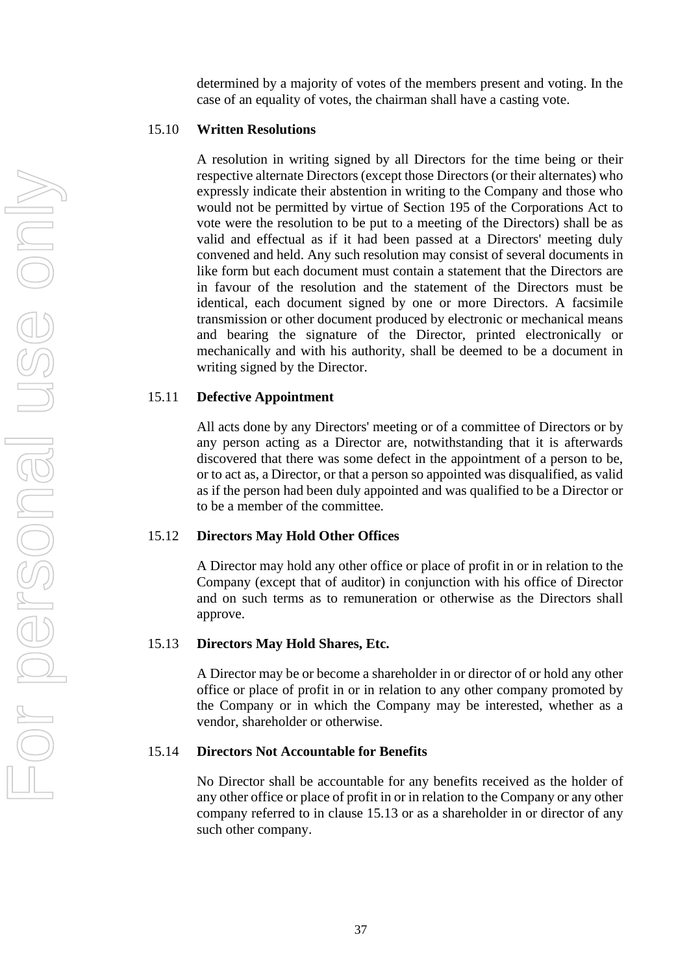determined by a majority of votes of the members present and voting. In the case of an equality of votes, the chairman shall have a casting vote.

#### <span id="page-37-0"></span>15.10 **Written Resolutions**

A resolution in writing signed by all Directors for the time being or their respective alternate Directors (except those Directors (or their alternates) who expressly indicate their abstention in writing to the Company and those who would not be permitted by virtue of Section 195 of the Corporations Act to vote were the resolution to be put to a meeting of the Directors) shall be as valid and effectual as if it had been passed at a Directors' meeting duly convened and held. Any such resolution may consist of several documents in like form but each document must contain a statement that the Directors are in favour of the resolution and the statement of the Directors must be identical, each document signed by one or more Directors. A facsimile transmission or other document produced by electronic or mechanical means and bearing the signature of the Director, printed electronically or mechanically and with his authority, shall be deemed to be a document in writing signed by the Director.

#### <span id="page-37-1"></span>15.11 **Defective Appointment**

All acts done by any Directors' meeting or of a committee of Directors or by any person acting as a Director are, notwithstanding that it is afterwards discovered that there was some defect in the appointment of a person to be, or to act as, a Director, or that a person so appointed was disqualified, as valid as if the person had been duly appointed and was qualified to be a Director or to be a member of the committee.

#### <span id="page-37-2"></span>15.12 **Directors May Hold Other Offices**

A Director may hold any other office or place of profit in or in relation to the Company (except that of auditor) in conjunction with his office of Director and on such terms as to remuneration or otherwise as the Directors shall approve.

#### <span id="page-37-5"></span><span id="page-37-3"></span>15.13 **Directors May Hold Shares, Etc.**

A Director may be or become a shareholder in or director of or hold any other office or place of profit in or in relation to any other company promoted by the Company or in which the Company may be interested, whether as a vendor, shareholder or otherwise.

#### <span id="page-37-4"></span>15.14 **Directors Not Accountable for Benefits**

No Director shall be accountable for any benefits received as the holder of any other office or place of profit in or in relation to the Company or any other company referred to in clause [15.13](#page-37-5) or as a shareholder in or director of any such other company.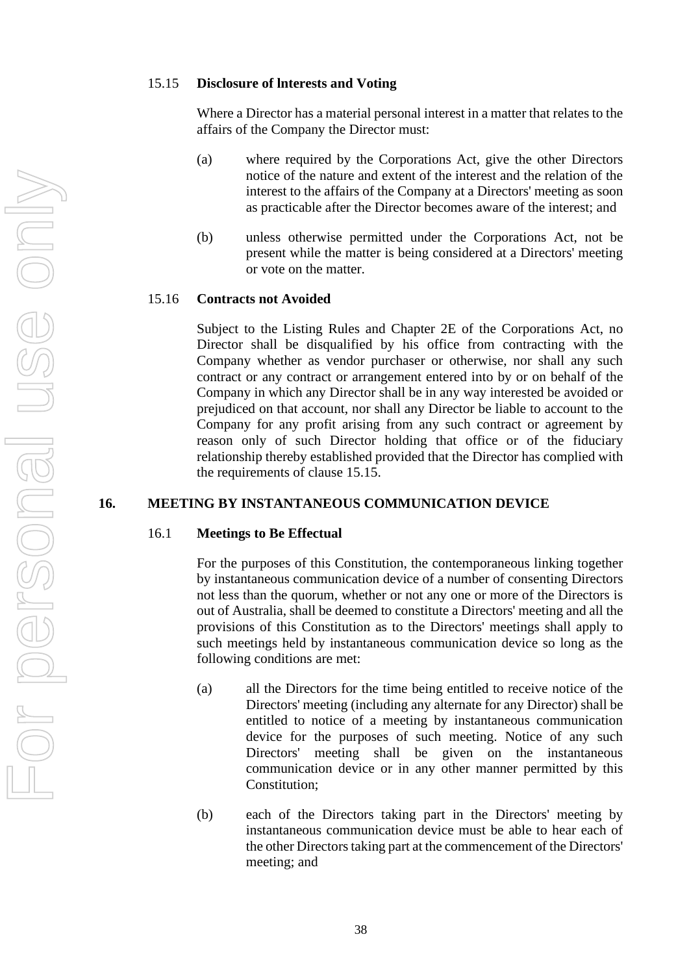#### <span id="page-38-5"></span><span id="page-38-0"></span>15.15 **Disclosure of lnterests and Voting**

Where a Director has a material personal interest in a matter that relates to the affairs of the Company the Director must:

- (a) where required by the Corporations Act, give the other Directors notice of the nature and extent of the interest and the relation of the interest to the affairs of the Company at a Directors' meeting as soon as practicable after the Director becomes aware of the interest; and
- (b) unless otherwise permitted under the Corporations Act, not be present while the matter is being considered at a Directors' meeting or vote on the matter.

#### <span id="page-38-1"></span>15.16 **Contracts not Avoided**

Subject to the Listing Rules and Chapter 2E of the Corporations Act, no Director shall be disqualified by his office from contracting with the Company whether as vendor purchaser or otherwise, nor shall any such contract or any contract or arrangement entered into by or on behalf of the Company in which any Director shall be in any way interested be avoided or prejudiced on that account, nor shall any Director be liable to account to the Company for any profit arising from any such contract or agreement by reason only of such Director holding that office or of the fiduciary relationship thereby established provided that the Director has complied with the requirements of clause [15.15.](#page-38-5)

## <span id="page-38-6"></span><span id="page-38-4"></span><span id="page-38-3"></span><span id="page-38-2"></span>**16. MEETING BY INSTANTANEOUS COMMUNICATION DEVICE**

#### 16.1 **Meetings to Be Effectual**

For the purposes of this Constitution, the contemporaneous linking together by instantaneous communication device of a number of consenting Directors not less than the quorum, whether or not any one or more of the Directors is out of Australia, shall be deemed to constitute a Directors' meeting and all the provisions of this Constitution as to the Directors' meetings shall apply to such meetings held by instantaneous communication device so long as the following conditions are met:

- (a) all the Directors for the time being entitled to receive notice of the Directors' meeting (including any alternate for any Director) shall be entitled to notice of a meeting by instantaneous communication device for the purposes of such meeting. Notice of any such Directors' meeting shall be given on the instantaneous communication device or in any other manner permitted by this Constitution;
- (b) each of the Directors taking part in the Directors' meeting by instantaneous communication device must be able to hear each of the other Directors taking part at the commencement of the Directors' meeting; and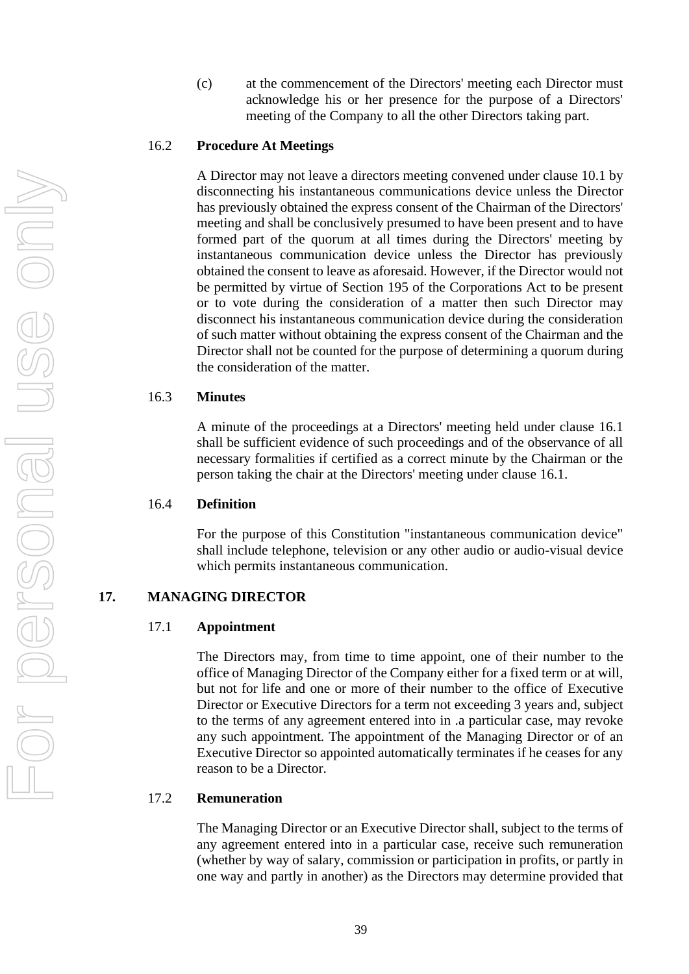(c) at the commencement of the Directors' meeting each Director must acknowledge his or her presence for the purpose of a Directors' meeting of the Company to all the other Directors taking part.

#### <span id="page-39-0"></span>16.2 **Procedure At Meetings**

A Director may not leave a directors meeting convened under clause [10.1](#page-25-8) by disconnecting his instantaneous communications device unless the Director has previously obtained the express consent of the Chairman of the Directors' meeting and shall be conclusively presumed to have been present and to have formed part of the quorum at all times during the Directors' meeting by instantaneous communication device unless the Director has previously obtained the consent to leave as aforesaid. However, if the Director would not be permitted by virtue of Section 195 of the Corporations Act to be present or to vote during the consideration of a matter then such Director may disconnect his instantaneous communication device during the consideration of such matter without obtaining the express consent of the Chairman and the Director shall not be counted for the purpose of determining a quorum during the consideration of the matter.

#### <span id="page-39-1"></span>16.3 **Minutes**

A minute of the proceedings at a Directors' meeting held under clause [16.1](#page-38-6) shall be sufficient evidence of such proceedings and of the observance of all necessary formalities if certified as a correct minute by the Chairman or the person taking the chair at the Directors' meeting under clause [16.1.](#page-38-6)

## <span id="page-39-2"></span>16.4 **Definition**

For the purpose of this Constitution "instantaneous communication device" shall include telephone, television or any other audio or audio-visual device which permits instantaneous communication.

## <span id="page-39-6"></span><span id="page-39-4"></span><span id="page-39-3"></span>**17. MANAGING DIRECTOR**

#### 17.1 **Appointment**

The Directors may, from time to time appoint, one of their number to the office of Managing Director of the Company either for a fixed term or at will, but not for life and one or more of their number to the office of Executive Director or Executive Directors for a term not exceeding 3 years and, subject to the terms of any agreement entered into in .a particular case, may revoke any such appointment. The appointment of the Managing Director or of an Executive Director so appointed automatically terminates if he ceases for any reason to be a Director.

## <span id="page-39-5"></span>17.2 **Remuneration**

The Managing Director or an Executive Director shall, subject to the terms of any agreement entered into in a particular case, receive such remuneration (whether by way of salary, commission or participation in profits, or partly in one way and partly in another) as the Directors may determine provided that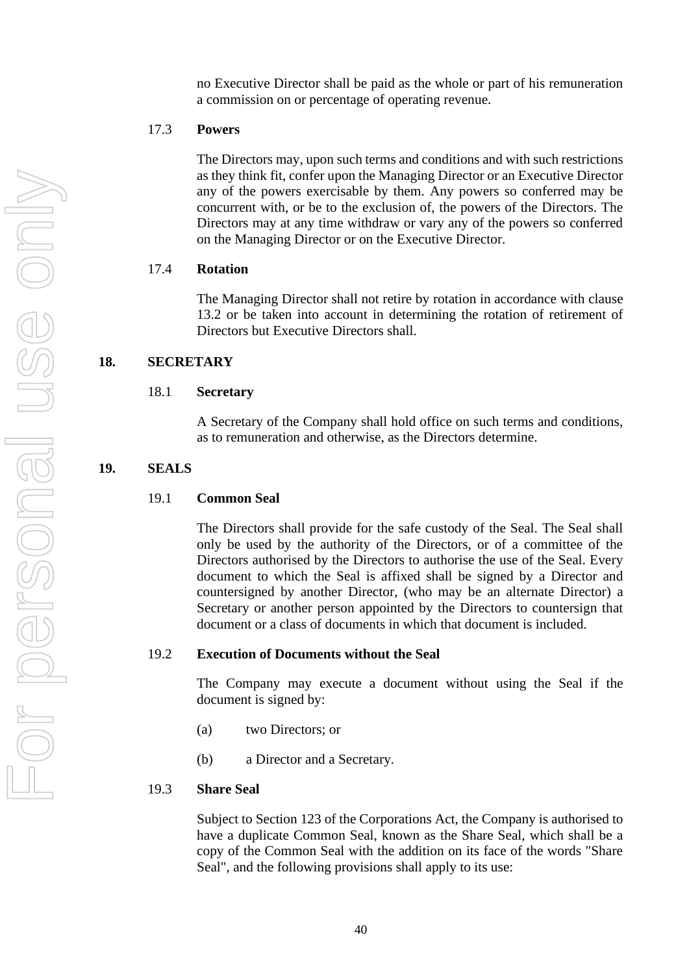no Executive Director shall be paid as the whole or part of his remuneration a commission on or percentage of operating revenue.

#### <span id="page-40-0"></span>17.3 **Powers**

The Directors may, upon such terms and conditions and with such restrictions as they think fit, confer upon the Managing Director or an Executive Director any of the powers exercisable by them. Any powers so conferred may be concurrent with, or be to the exclusion of, the powers of the Directors. The Directors may at any time withdraw or vary any of the powers so conferred on the Managing Director or on the Executive Director.

#### <span id="page-40-9"></span><span id="page-40-1"></span>17.4 **Rotation**

The Managing Director shall not retire by rotation in accordance with clause [13.2](#page-31-5) or be taken into account in determining the rotation of retirement of Directors but Executive Directors shall.

## <span id="page-40-3"></span><span id="page-40-2"></span>**18. SECRETARY**

#### 18.1 **Secretary**

A Secretary of the Company shall hold office on such terms and conditions, as to remuneration and otherwise, as the Directors determine.

## <span id="page-40-10"></span><span id="page-40-5"></span><span id="page-40-4"></span>**19. SEALS**

#### 19.1 **Common Seal**

The Directors shall provide for the safe custody of the Seal. The Seal shall only be used by the authority of the Directors, or of a committee of the Directors authorised by the Directors to authorise the use of the Seal. Every document to which the Seal is affixed shall be signed by a Director and countersigned by another Director, (who may be an alternate Director) a Secretary or another person appointed by the Directors to countersign that document or a class of documents in which that document is included.

#### <span id="page-40-6"></span>19.2 **Execution of Documents without the Seal**

The Company may execute a document without using the Seal if the document is signed by:

- (a) two Directors; or
- (b) a Director and a Secretary.

#### <span id="page-40-8"></span><span id="page-40-7"></span>19.3 **Share Seal**

Subject to Section 123 of the Corporations Act, the Company is authorised to have a duplicate Common Seal, known as the Share Seal, which shall be a copy of the Common Seal with the addition on its face of the words "Share Seal", and the following provisions shall apply to its use: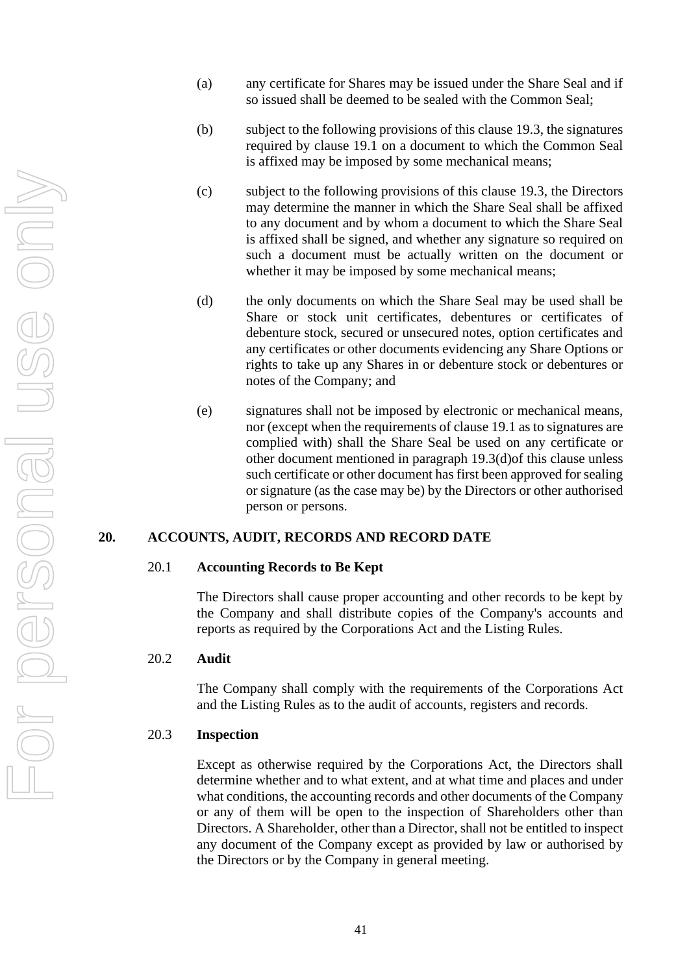- (a) any certificate for Shares may be issued under the Share Seal and if so issued shall be deemed to be sealed with the Common Seal;
- (b) subject to the following provisions of this clause [19.3,](#page-40-8) the signatures required by clause [19.1](#page-40-10) on a document to which the Common Seal is affixed may be imposed by some mechanical means;
- (c) subject to the following provisions of this clause [19.3,](#page-40-8) the Directors may determine the manner in which the Share Seal shall be affixed to any document and by whom a document to which the Share Seal is affixed shall be signed, and whether any signature so required on such a document must be actually written on the document or whether it may be imposed by some mechanical means;
- <span id="page-41-4"></span>(d) the only documents on which the Share Seal may be used shall be Share or stock unit certificates, debentures or certificates of debenture stock, secured or unsecured notes, option certificates and any certificates or other documents evidencing any Share Options or rights to take up any Shares in or debenture stock or debentures or notes of the Company; and
- (e) signatures shall not be imposed by electronic or mechanical means, nor (except when the requirements of clause [19.1](#page-40-10) as to signatures are complied with) shall the Share Seal be used on any certificate or other document mentioned in paragraph [19.3\(d\)o](#page-41-4)f this clause unless such certificate or other document has first been approved for sealing or signature (as the case may be) by the Directors or other authorised person or persons.

## <span id="page-41-1"></span><span id="page-41-0"></span>**20. ACCOUNTS, AUDIT, RECORDS AND RECORD DATE**

#### 20.1 **Accounting Records to Be Kept**

The Directors shall cause proper accounting and other records to be kept by the Company and shall distribute copies of the Company's accounts and reports as required by the Corporations Act and the Listing Rules.

## <span id="page-41-2"></span>20.2 **Audit**

The Company shall comply with the requirements of the Corporations Act and the Listing Rules as to the audit of accounts, registers and records.

#### <span id="page-41-3"></span>20.3 **Inspection**

Except as otherwise required by the Corporations Act, the Directors shall determine whether and to what extent, and at what time and places and under what conditions, the accounting records and other documents of the Company or any of them will be open to the inspection of Shareholders other than Directors. A Shareholder, other than a Director, shall not be entitled to inspect any document of the Company except as provided by law or authorised by the Directors or by the Company in general meeting.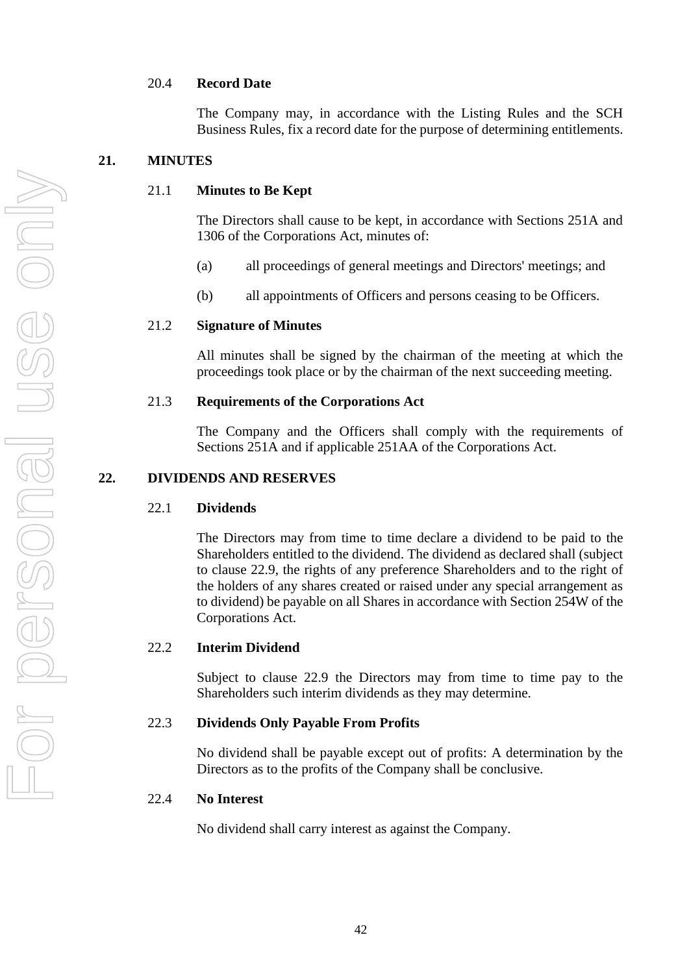## <span id="page-42-0"></span>20.4 **Record Date**

The Company may, in accordance with the Listing Rules and the SCH Business Rules, fix a record date for the purpose of determining entitlements.

## <span id="page-42-2"></span><span id="page-42-1"></span>**21. MINUTES**

#### 21.1 **Minutes to Be Kept**

The Directors shall cause to be kept, in accordance with Sections 251A and 1306 of the Corporations Act, minutes of:

- (a) all proceedings of general meetings and Directors' meetings; and
- (b) all appointments of Officers and persons ceasing to be Officers.

## <span id="page-42-3"></span>21.2 **Signature of Minutes**

All minutes shall be signed by the chairman of the meeting at which the proceedings took place or by the chairman of the next succeeding meeting.

#### <span id="page-42-4"></span>21.3 **Requirements of the Corporations Act**

The Company and the Officers shall comply with the requirements of Sections 251A and if applicable 251AA of the Corporations Act.

#### <span id="page-42-10"></span><span id="page-42-6"></span><span id="page-42-5"></span>**22. DIVIDENDS AND RESERVES**

#### 22.1 **Dividends**

The Directors may from time to time declare a dividend to be paid to the Shareholders entitled to the dividend. The dividend as declared shall (subject to clause [22.9,](#page-44-8) the rights of any preference Shareholders and to the right of the holders of any shares created or raised under any special arrangement as to dividend) be payable on all Shares in accordance with Section 254W of the Corporations Act.

## <span id="page-42-7"></span>22.2 **Interim Dividend**

Subject to clause [22.9](#page-44-8) the Directors may from time to time pay to the Shareholders such interim dividends as they may determine.

## <span id="page-42-8"></span>22.3 **Dividends Only Payable From Profits**

No dividend shall be payable except out of profits: A determination by the Directors as to the profits of the Company shall be conclusive.

#### <span id="page-42-9"></span>22.4 **No Interest**

No dividend shall carry interest as against the Company.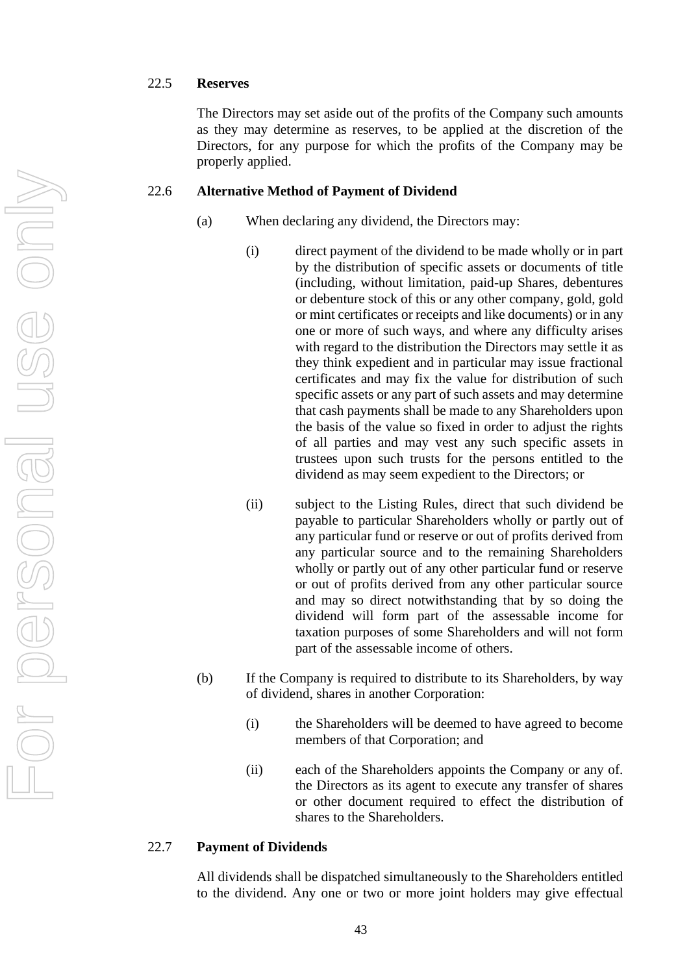## <span id="page-43-0"></span>22.5 **Reserves**

The Directors may set aside out of the profits of the Company such amounts as they may determine as reserves, to be applied at the discretion of the Directors, for any purpose for which the profits of the Company may be properly applied.

#### <span id="page-43-1"></span>22.6 **Alternative Method of Payment of Dividend**

- (a) When declaring any dividend, the Directors may:
	- (i) direct payment of the dividend to be made wholly or in part by the distribution of specific assets or documents of title (including, without limitation, paid-up Shares, debentures or debenture stock of this or any other company, gold, gold or mint certificates or receipts and like documents) or in any one or more of such ways, and where any difficulty arises with regard to the distribution the Directors may settle it as they think expedient and in particular may issue fractional certificates and may fix the value for distribution of such specific assets or any part of such assets and may determine that cash payments shall be made to any Shareholders upon the basis of the value so fixed in order to adjust the rights of all parties and may vest any such specific assets in trustees upon such trusts for the persons entitled to the dividend as may seem expedient to the Directors; or
	- (ii) subject to the Listing Rules, direct that such dividend be payable to particular Shareholders wholly or partly out of any particular fund or reserve or out of profits derived from any particular source and to the remaining Shareholders wholly or partly out of any other particular fund or reserve or out of profits derived from any other particular source and may so direct notwithstanding that by so doing the dividend will form part of the assessable income for taxation purposes of some Shareholders and will not form part of the assessable income of others.
- (b) If the Company is required to distribute to its Shareholders, by way of dividend, shares in another Corporation:
	- (i) the Shareholders will be deemed to have agreed to become members of that Corporation; and
	- (ii) each of the Shareholders appoints the Company or any of. the Directors as its agent to execute any transfer of shares or other document required to effect the distribution of shares to the Shareholders.

#### <span id="page-43-2"></span>22.7 **Payment of Dividends**

All dividends shall be dispatched simultaneously to the Shareholders entitled to the dividend. Any one or two or more joint holders may give effectual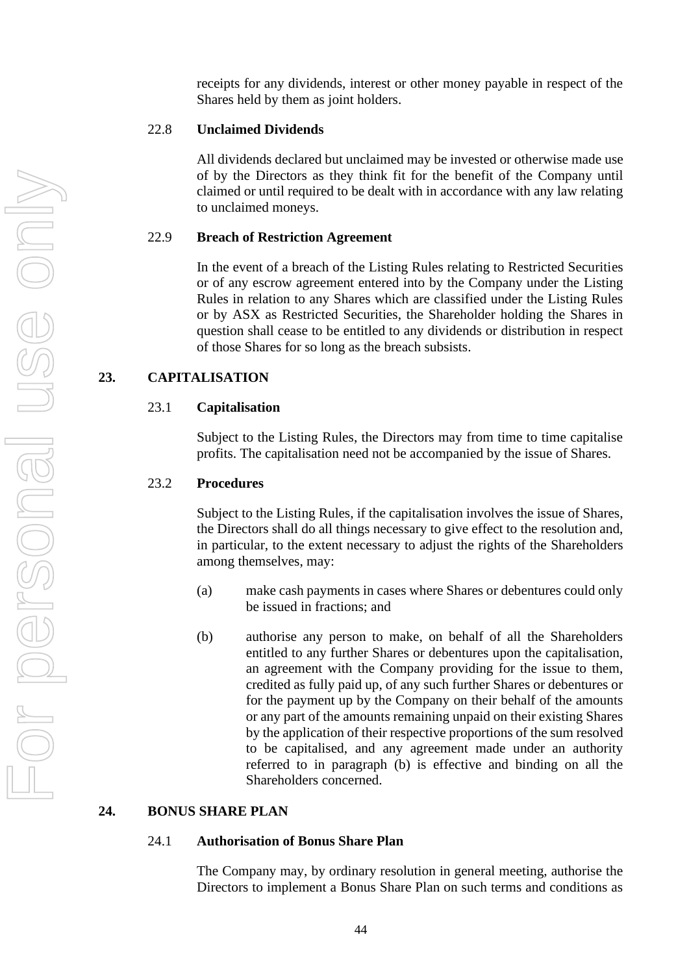receipts for any dividends, interest or other money payable in respect of the Shares held by them as joint holders.

#### <span id="page-44-0"></span>22.8 **Unclaimed Dividends**

All dividends declared but unclaimed may be invested or otherwise made use of by the Directors as they think fit for the benefit of the Company until claimed or until required to be dealt with in accordance with any law relating to unclaimed moneys.

#### <span id="page-44-8"></span><span id="page-44-1"></span>22.9 **Breach of Restriction Agreement**

In the event of a breach of the Listing Rules relating to Restricted Securities or of any escrow agreement entered into by the Company under the Listing Rules in relation to any Shares which are classified under the Listing Rules or by ASX as Restricted Securities, the Shareholder holding the Shares in question shall cease to be entitled to any dividends or distribution in respect of those Shares for so long as the breach subsists.

## <span id="page-44-10"></span><span id="page-44-3"></span><span id="page-44-2"></span>**23. CAPITALISATION**

#### 23.1 **Capitalisation**

Subject to the Listing Rules, the Directors may from time to time capitalise profits. The capitalisation need not be accompanied by the issue of Shares.

#### <span id="page-44-4"></span>23.2 **Procedures**

Subject to the Listing Rules, if the capitalisation involves the issue of Shares, the Directors shall do all things necessary to give effect to the resolution and, in particular, to the extent necessary to adjust the rights of the Shareholders among themselves, may:

- (a) make cash payments in cases where Shares or debentures could only be issued in fractions; and
- (b) authorise any person to make, on behalf of all the Shareholders entitled to any further Shares or debentures upon the capitalisation, an agreement with the Company providing for the issue to them, credited as fully paid up, of any such further Shares or debentures or for the payment up by the Company on their behalf of the amounts or any part of the amounts remaining unpaid on their existing Shares by the application of their respective proportions of the sum resolved to be capitalised, and any agreement made under an authority referred to in paragraph (b) is effective and binding on all the Shareholders concerned.

#### <span id="page-44-9"></span><span id="page-44-7"></span><span id="page-44-6"></span><span id="page-44-5"></span>**24. BONUS SHARE PLAN**

#### 24.1 **Authorisation of Bonus Share Plan**

The Company may, by ordinary resolution in general meeting, authorise the Directors to implement a Bonus Share Plan on such terms and conditions as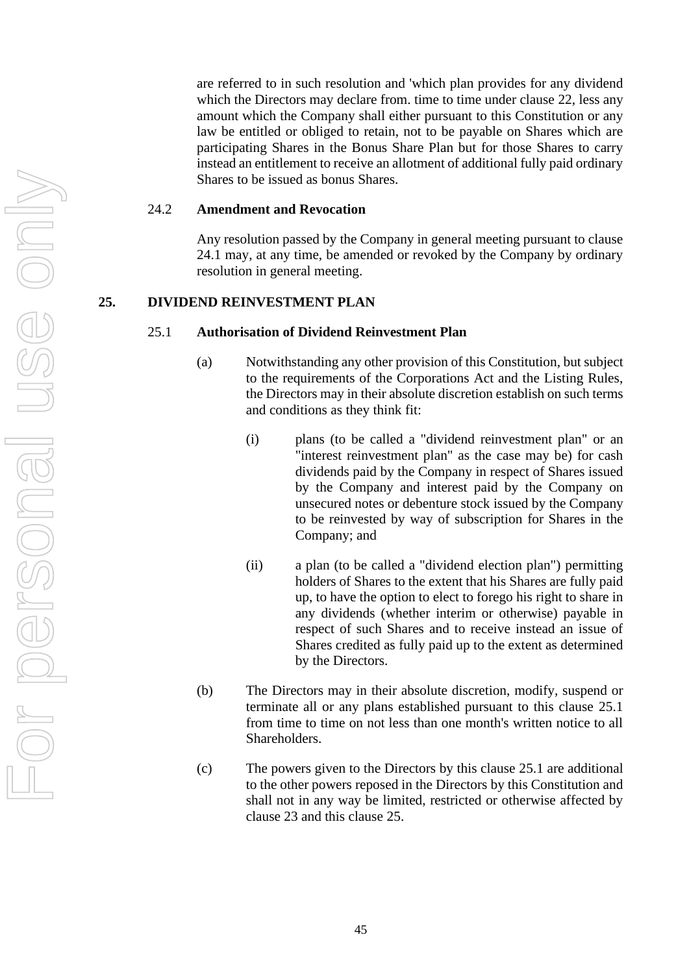are referred to in such resolution and 'which plan provides for any dividend which the Directors may declare from, time to time under clause [22,](#page-42-10) less any amount which the Company shall either pursuant to this Constitution or any law be entitled or obliged to retain, not to be payable on Shares which are participating Shares in the Bonus Share Plan but for those Shares to carry instead an entitlement to receive an allotment of additional fully paid ordinary Shares to be issued as bonus Shares.

## <span id="page-45-0"></span>24.2 **Amendment and Revocation**

Any resolution passed by the Company in general meeting pursuant to clause [24.1](#page-44-9) may, at any time, be amended or revoked by the Company by ordinary resolution in general meeting.

#### <span id="page-45-4"></span><span id="page-45-3"></span><span id="page-45-2"></span><span id="page-45-1"></span>**25. DIVIDEND REINVESTMENT PLAN**

#### 25.1 **Authorisation of Dividend Reinvestment Plan**

- (a) Notwithstanding any other provision of this Constitution, but subject to the requirements of the Corporations Act and the Listing Rules, the Directors may in their absolute discretion establish on such terms and conditions as they think fit:
	- (i) plans (to be called a "dividend reinvestment plan" or an "interest reinvestment plan" as the case may be) for cash dividends paid by the Company in respect of Shares issued by the Company and interest paid by the Company on unsecured notes or debenture stock issued by the Company to be reinvested by way of subscription for Shares in the Company; and
	- (ii) a plan (to be called a "dividend election plan") permitting holders of Shares to the extent that his Shares are fully paid up, to have the option to elect to forego his right to share in any dividends (whether interim or otherwise) payable in respect of such Shares and to receive instead an issue of Shares credited as fully paid up to the extent as determined by the Directors.
- (b) The Directors may in their absolute discretion, modify, suspend or terminate all or any plans established pursuant to this clause [25.1](#page-45-4) from time to time on not less than one month's written notice to all Shareholders.
- (c) The powers given to the Directors by this clause [25.1](#page-45-4) are additional to the other powers reposed in the Directors by this Constitution and shall not in any way be limited, restricted or otherwise affected by clause [23](#page-44-10) and this clause [25.](#page-45-3)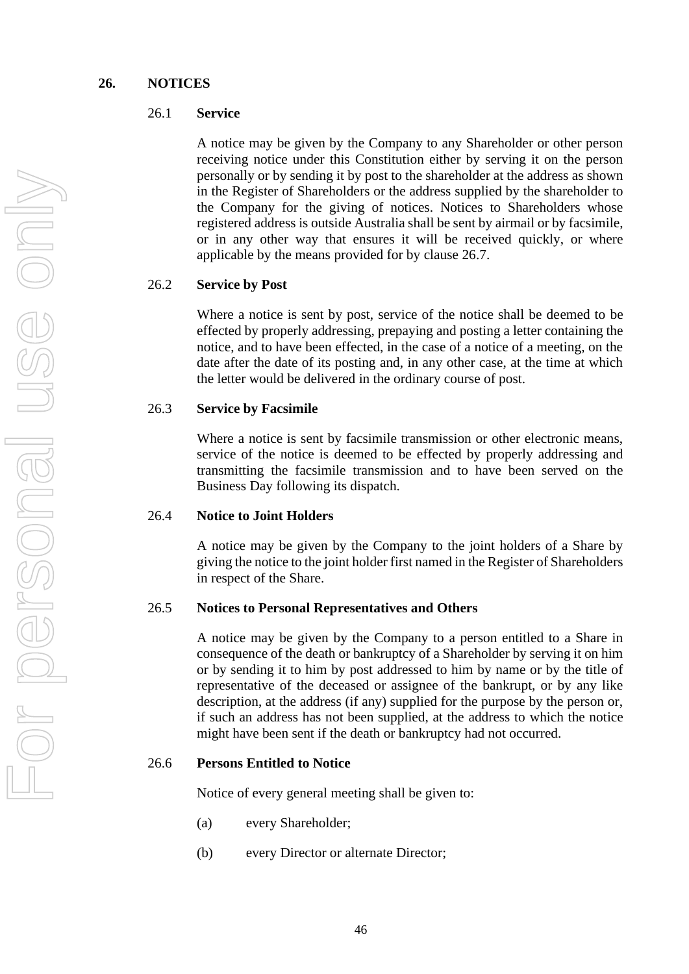## <span id="page-46-7"></span><span id="page-46-1"></span><span id="page-46-0"></span>**26. NOTICES**

## 26.1 **Service**

A notice may be given by the Company to any Shareholder or other person receiving notice under this Constitution either by serving it on the person personally or by sending it by post to the shareholder at the address as shown in the Register of Shareholders or the address supplied by the shareholder to the Company for the giving of notices. Notices to Shareholders whose registered address is outside Australia shall be sent by airmail or by facsimile, or in any other way that ensures it will be received quickly, or where applicable by the means provided for by clause [26.7.](#page-47-5)

## <span id="page-46-2"></span>26.2 **Service by Post**

Where a notice is sent by post, service of the notice shall be deemed to be effected by properly addressing, prepaying and posting a letter containing the notice, and to have been effected, in the case of a notice of a meeting, on the date after the date of its posting and, in any other case, at the time at which the letter would be delivered in the ordinary course of post.

## <span id="page-46-3"></span>26.3 **Service by Facsimile**

Where a notice is sent by facsimile transmission or other electronic means, service of the notice is deemed to be effected by properly addressing and transmitting the facsimile transmission and to have been served on the Business Day following its dispatch.

## <span id="page-46-4"></span>26.4 **Notice to Joint Holders**

A notice may be given by the Company to the joint holders of a Share by giving the notice to the joint holder first named in the Register of Shareholders in respect of the Share.

## <span id="page-46-5"></span>26.5 **Notices to Personal Representatives and Others**

A notice may be given by the Company to a person entitled to a Share in consequence of the death or bankruptcy of a Shareholder by serving it on him or by sending it to him by post addressed to him by name or by the title of representative of the deceased or assignee of the bankrupt, or by any like description, at the address (if any) supplied for the purpose by the person or, if such an address has not been supplied, at the address to which the notice might have been sent if the death or bankruptcy had not occurred.

## <span id="page-46-6"></span>26.6 **Persons Entitled to Notice**

Notice of every general meeting shall be given to:

- (a) every Shareholder;
- (b) every Director or alternate Director;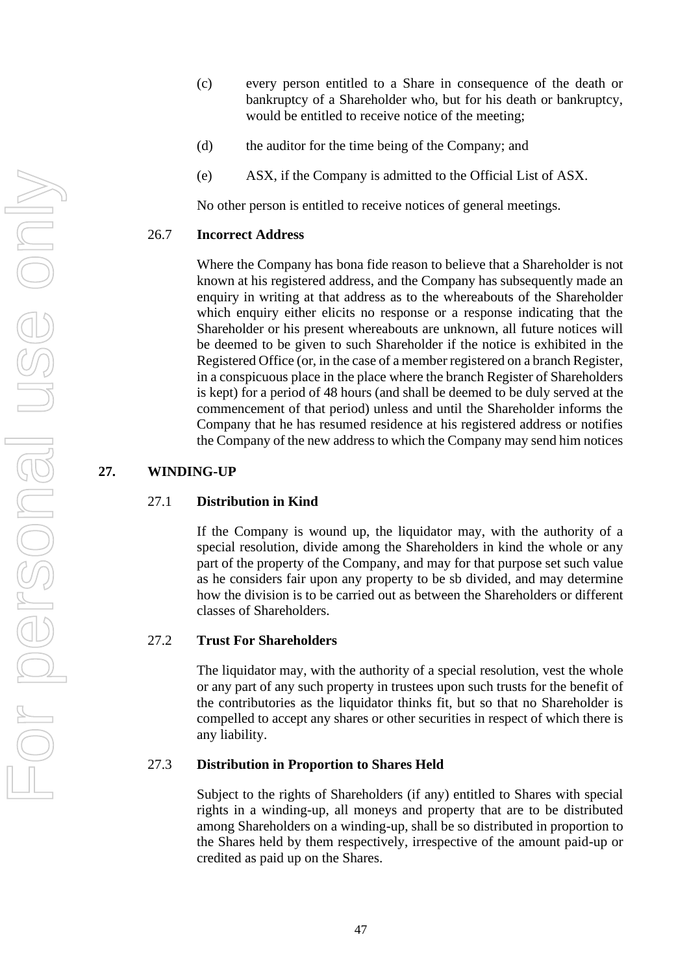- (c) every person entitled to a Share in consequence of the death or bankruptcy of a Shareholder who, but for his death or bankruptcy, would be entitled to receive notice of the meeting;
- (d) the auditor for the time being of the Company; and
- (e) ASX, if the Company is admitted to the Official List of ASX.

No other person is entitled to receive notices of general meetings.

#### <span id="page-47-5"></span><span id="page-47-0"></span>26.7 **Incorrect Address**

Where the Company has bona fide reason to believe that a Shareholder is not known at his registered address, and the Company has subsequently made an enquiry in writing at that address as to the whereabouts of the Shareholder which enquiry either elicits no response or a response indicating that the Shareholder or his present whereabouts are unknown, all future notices will be deemed to be given to such Shareholder if the notice is exhibited in the Registered Office (or, in the case of a member registered on a branch Register, in a conspicuous place in the place where the branch Register of Shareholders is kept) for a period of 48 hours (and shall be deemed to be duly served at the commencement of that period) unless and until the Shareholder informs the Company that he has resumed residence at his registered address or notifies the Company of the new address to which the Company may send him notices

## <span id="page-47-2"></span><span id="page-47-1"></span>**27. WINDING-UP**

## 27.1 **Distribution in Kind**

If the Company is wound up, the liquidator may, with the authority of a special resolution, divide among the Shareholders in kind the whole or any part of the property of the Company, and may for that purpose set such value as he considers fair upon any property to be sb divided, and may determine how the division is to be carried out as between the Shareholders or different classes of Shareholders.

## <span id="page-47-3"></span>27.2 **Trust For Shareholders**

The liquidator may, with the authority of a special resolution, vest the whole or any part of any such property in trustees upon such trusts for the benefit of the contributories as the liquidator thinks fit, but so that no Shareholder is compelled to accept any shares or other securities in respect of which there is any liability.

## <span id="page-47-4"></span>27.3 **Distribution in Proportion to Shares Held**

Subject to the rights of Shareholders (if any) entitled to Shares with special rights in a winding-up, all moneys and property that are to be distributed among Shareholders on a winding-up, shall be so distributed in proportion to the Shares held by them respectively, irrespective of the amount paid-up or credited as paid up on the Shares.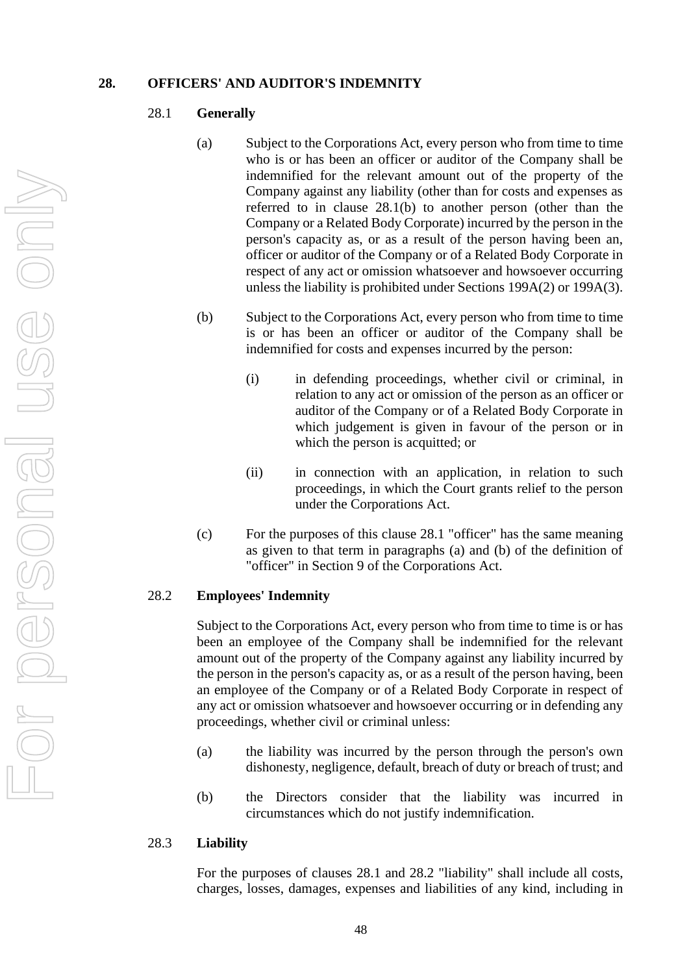## <span id="page-48-5"></span><span id="page-48-1"></span><span id="page-48-0"></span>**28. OFFICERS' AND AUDITOR'S INDEMNITY**

#### 28.1 **Generally**

- (a) Subject to the Corporations Act, every person who from time to time who is or has been an officer or auditor of the Company shall be indemnified for the relevant amount out of the property of the Company against any liability (other than for costs and expenses as referred to in clause [28.1\(b\)](#page-48-4) to another person (other than the Company or a Related Body Corporate) incurred by the person in the person's capacity as, or as a result of the person having been an, officer or auditor of the Company or of a Related Body Corporate in respect of any act or omission whatsoever and howsoever occurring unless the liability is prohibited under Sections 199A(2) or 199A(3).
- <span id="page-48-4"></span>(b) Subject to the Corporations Act, every person who from time to time is or has been an officer or auditor of the Company shall be indemnified for costs and expenses incurred by the person:
	- (i) in defending proceedings, whether civil or criminal, in relation to any act or omission of the person as an officer or auditor of the Company or of a Related Body Corporate in which judgement is given in favour of the person or in which the person is acquitted; or
	- (ii) in connection with an application, in relation to such proceedings, in which the Court grants relief to the person under the Corporations Act.
- (c) For the purposes of this clause [28.1](#page-48-5) "officer" has the same meaning as given to that term in paragraphs (a) and (b) of the definition of "officer" in Section 9 of the Corporations Act.

## <span id="page-48-6"></span><span id="page-48-2"></span>28.2 **Employees' Indemnity**

Subject to the Corporations Act, every person who from time to time is or has been an employee of the Company shall be indemnified for the relevant amount out of the property of the Company against any liability incurred by the person in the person's capacity as, or as a result of the person having, been an employee of the Company or of a Related Body Corporate in respect of any act or omission whatsoever and howsoever occurring or in defending any proceedings, whether civil or criminal unless:

- (a) the liability was incurred by the person through the person's own dishonesty, negligence, default, breach of duty or breach of trust; and
- (b) the Directors consider that the liability was incurred in circumstances which do not justify indemnification.

## <span id="page-48-3"></span>28.3 **Liability**

For the purposes of clauses [28.1](#page-48-5) and [28.2](#page-48-6) "liability" shall include all costs, charges, losses, damages, expenses and liabilities of any kind, including in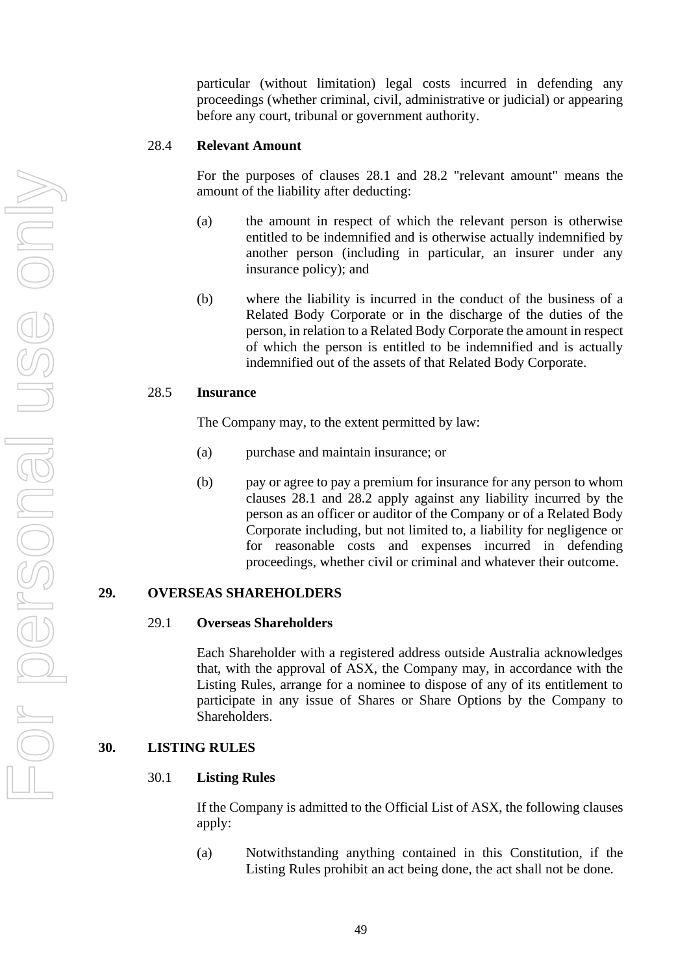particular (without limitation) legal costs incurred in defending any proceedings (whether criminal, civil, administrative or judicial) or appearing before any court, tribunal or government authority.

## <span id="page-49-0"></span>28.4 **Relevant Amount**

For the purposes of clauses [28.1](#page-48-5) and [28.2](#page-48-6) "relevant amount" means the amount of the liability after deducting:

- (a) the amount in respect of which the relevant person is otherwise entitled to be indemnified and is otherwise actually indemnified by another person (including in particular, an insurer under any insurance policy); and
- (b) where the liability is incurred in the conduct of the business of a Related Body Corporate or in the discharge of the duties of the person, in relation to a Related Body Corporate the amount in respect of which the person is entitled to be indemnified and is actually indemnified out of the assets of that Related Body Corporate.

#### <span id="page-49-1"></span>28.5 **Insurance**

The Company may, to the extent permitted by law:

- (a) purchase and maintain insurance; or
- (b) pay or agree to pay a premium for insurance for any person to whom clauses [28.1](#page-48-5) and [28.2](#page-48-6) apply against any liability incurred by the person as an officer or auditor of the Company or of a Related Body Corporate including, but not limited to, a liability for negligence or for reasonable costs and expenses incurred in defending proceedings, whether civil or criminal and whatever their outcome.

## <span id="page-49-3"></span><span id="page-49-2"></span>**29. OVERSEAS SHAREHOLDERS**

#### 29.1 **Overseas Shareholders**

Each Shareholder with a registered address outside Australia acknowledges that, with the approval of ASX, the Company may, in accordance with the Listing Rules, arrange for a nominee to dispose of any of its entitlement to participate in any issue of Shares or Share Options by the Company to Shareholders.

## <span id="page-49-5"></span><span id="page-49-4"></span>**30. LISTING RULES**

## 30.1 **Listing Rules**

If the Company is admitted to the Official List of ASX, the following clauses apply:

(a) Notwithstanding anything contained in this Constitution, if the Listing Rules prohibit an act being done, the act shall not be done.